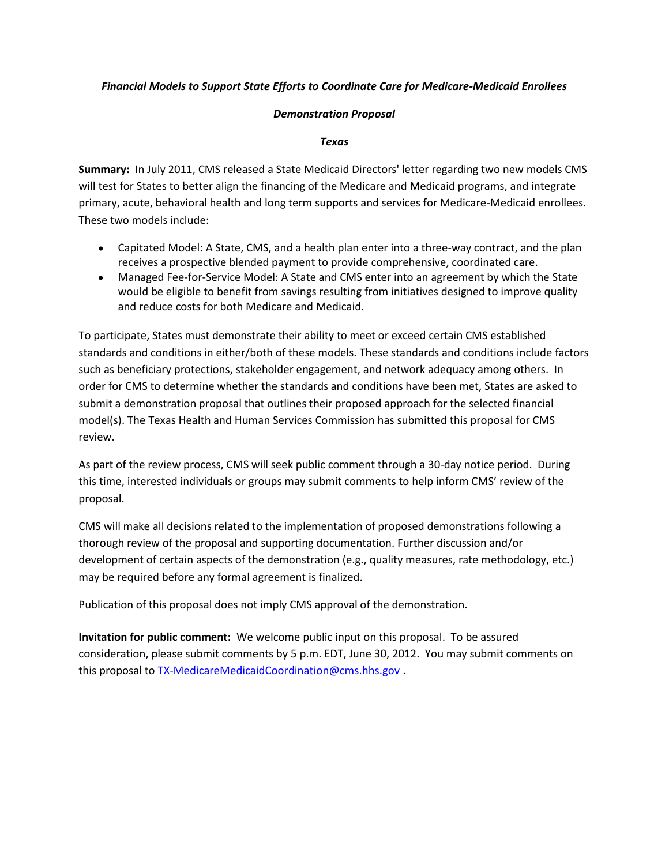#### *Financial Models to Support State Efforts to Coordinate Care for Medicare-Medicaid Enrollees*

#### *Demonstration Proposal*

#### *Texas*

**Summary:** In July 2011, CMS released a State Medicaid Directors' letter regarding two new models CMS will test for States to better align the financing of the Medicare and Medicaid programs, and integrate primary, acute, behavioral health and long term supports and services for Medicare-Medicaid enrollees. These two models include:

- Capitated Model: A State, CMS, and a health plan enter into a three-way contract, and the plan receives a prospective blended payment to provide comprehensive, coordinated care.
- Managed Fee-for-Service Model: A State and CMS enter into an agreement by which the State would be eligible to benefit from savings resulting from initiatives designed to improve quality and reduce costs for both Medicare and Medicaid.

To participate, States must demonstrate their ability to meet or exceed certain CMS established standards and conditions in either/both of these models. These standards and conditions include factors such as beneficiary protections, stakeholder engagement, and network adequacy among others. In order for CMS to determine whether the standards and conditions have been met, States are asked to submit a demonstration proposal that outlines their proposed approach for the selected financial model(s). The Texas Health and Human Services Commission has submitted this proposal for CMS review.

As part of the review process, CMS will seek public comment through a 30-day notice period. During this time, interested individuals or groups may submit comments to help inform CMS' review of the proposal.

CMS will make all decisions related to the implementation of proposed demonstrations following a thorough review of the proposal and supporting documentation. Further discussion and/or development of certain aspects of the demonstration (e.g., quality measures, rate methodology, etc.) may be required before any formal agreement is finalized.

Publication of this proposal does not imply CMS approval of the demonstration.

**Invitation for public comment:** We welcome public input on this proposal. To be assured consideration, please submit comments by 5 p.m. EDT, June 30, 2012. You may submit comments on this proposal to [TX-MedicareMedicaidCoordination@cms.hhs.gov](mailto:TX-MedicareMedicaidCoordination@cms.hhs.gov).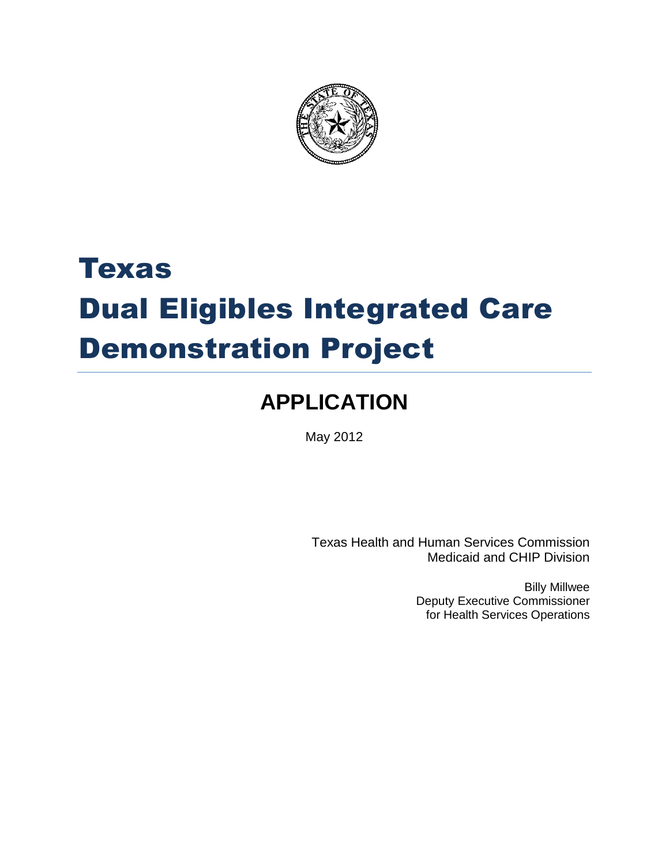

# Texas Dual Eligibles Integrated Care Demonstration Project

# **APPLICATION**

May 2012

Texas Health and Human Services Commission Medicaid and CHIP Division

> Billy Millwee Deputy Executive Commissioner for Health Services Operations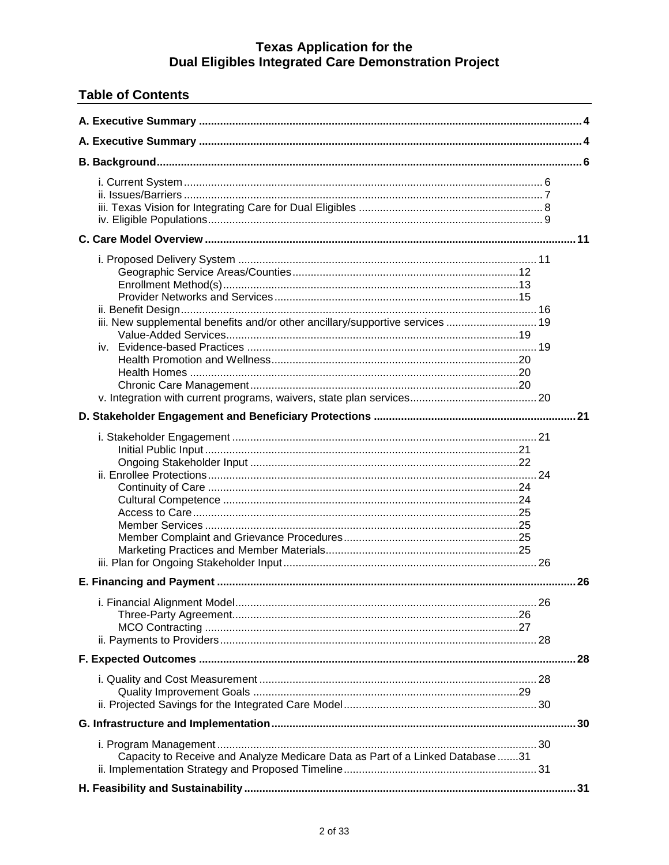| <b>Table of Contents</b>                                                      |  |
|-------------------------------------------------------------------------------|--|
|                                                                               |  |
|                                                                               |  |
|                                                                               |  |
|                                                                               |  |
|                                                                               |  |
| iii. New supplemental benefits and/or other ancillary/supportive services  19 |  |
|                                                                               |  |
|                                                                               |  |
|                                                                               |  |
|                                                                               |  |
|                                                                               |  |
|                                                                               |  |
|                                                                               |  |
| Capacity to Receive and Analyze Medicare Data as Part of a Linked Database 31 |  |
|                                                                               |  |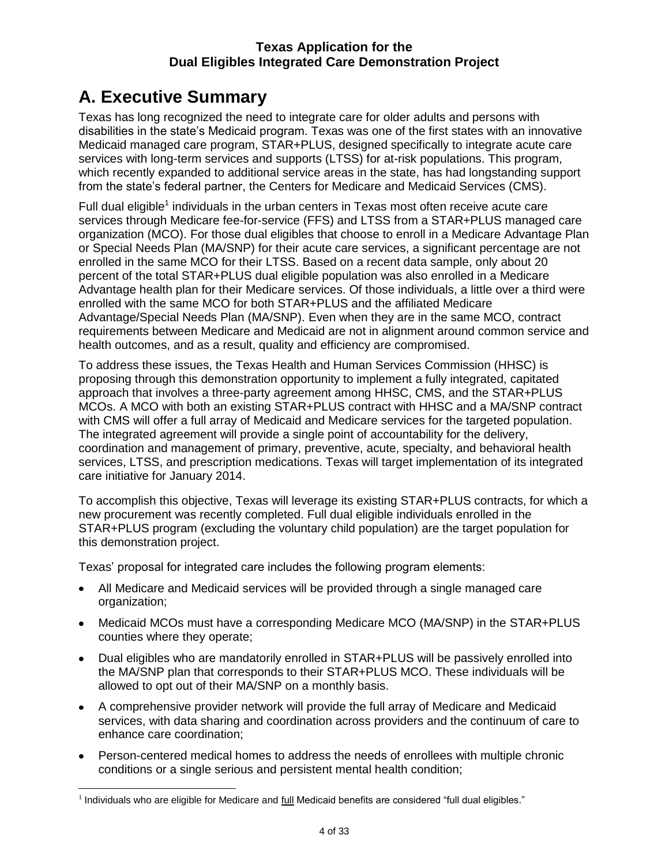# <span id="page-4-0"></span>**A. Executive Summary**

Texas has long recognized the need to integrate care for older adults and persons with disabilities in the state's Medicaid program. Texas was one of the first states with an innovative Medicaid managed care program, STAR+PLUS, designed specifically to integrate acute care services with long-term services and supports (LTSS) for at-risk populations. This program, which recently expanded to additional service areas in the state, has had longstanding support from the state's federal partner, the Centers for Medicare and Medicaid Services (CMS).

Full dual eligible<sup>1</sup> individuals in the urban centers in Texas most often receive acute care services through Medicare fee-for-service (FFS) and LTSS from a STAR+PLUS managed care organization (MCO). For those dual eligibles that choose to enroll in a Medicare Advantage Plan or Special Needs Plan (MA/SNP) for their acute care services, a significant percentage are not enrolled in the same MCO for their LTSS. Based on a recent data sample, only about 20 percent of the total STAR+PLUS dual eligible population was also enrolled in a Medicare Advantage health plan for their Medicare services. Of those individuals, a little over a third were enrolled with the same MCO for both STAR+PLUS and the affiliated Medicare Advantage/Special Needs Plan (MA/SNP). Even when they are in the same MCO, contract requirements between Medicare and Medicaid are not in alignment around common service and health outcomes, and as a result, quality and efficiency are compromised.

To address these issues, the Texas Health and Human Services Commission (HHSC) is proposing through this demonstration opportunity to implement a fully integrated, capitated approach that involves a three-party agreement among HHSC, CMS, and the STAR+PLUS MCOs. A MCO with both an existing STAR+PLUS contract with HHSC and a MA/SNP contract with CMS will offer a full array of Medicaid and Medicare services for the targeted population. The integrated agreement will provide a single point of accountability for the delivery, coordination and management of primary, preventive, acute, specialty, and behavioral health services, LTSS, and prescription medications. Texas will target implementation of its integrated care initiative for January 2014.

To accomplish this objective, Texas will leverage its existing STAR+PLUS contracts, for which a new procurement was recently completed. Full dual eligible individuals enrolled in the STAR+PLUS program (excluding the voluntary child population) are the target population for this demonstration project.

Texas' proposal for integrated care includes the following program elements:

- All Medicare and Medicaid services will be provided through a single managed care organization;
- Medicaid MCOs must have a corresponding Medicare MCO (MA/SNP) in the STAR+PLUS counties where they operate;
- Dual eligibles who are mandatorily enrolled in STAR+PLUS will be passively enrolled into the MA/SNP plan that corresponds to their STAR+PLUS MCO. These individuals will be allowed to opt out of their MA/SNP on a monthly basis.
- A comprehensive provider network will provide the full array of Medicare and Medicaid services, with data sharing and coordination across providers and the continuum of care to enhance care coordination;
- Person-centered medical homes to address the needs of enrollees with multiple chronic conditions or a single serious and persistent mental health condition;

 $\overline{a}$ <sup>1</sup> Individuals who are eligible for Medicare and *full* Medicaid benefits are considered "full dual eligibles."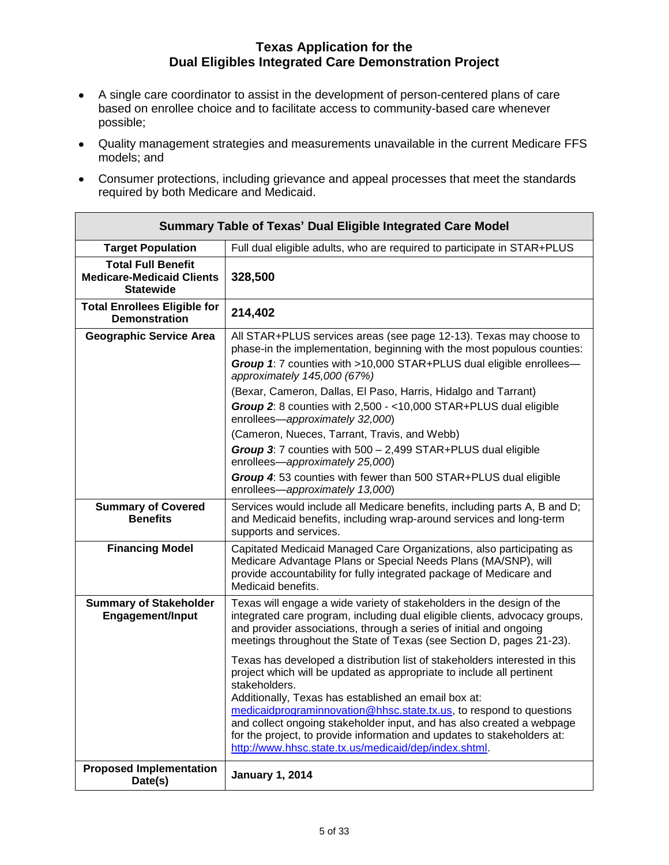- A single care coordinator to assist in the development of person-centered plans of care based on enrollee choice and to facilitate access to community-based care whenever possible;
- Quality management strategies and measurements unavailable in the current Medicare FFS models; and
- Consumer protections, including grievance and appeal processes that meet the standards required by both Medicare and Medicaid.

| <b>Summary Table of Texas' Dual Eligible Integrated Care Model</b>                |                                                                                                                                                                                                                                                                                                                                                                                                                                                                                                                  |  |
|-----------------------------------------------------------------------------------|------------------------------------------------------------------------------------------------------------------------------------------------------------------------------------------------------------------------------------------------------------------------------------------------------------------------------------------------------------------------------------------------------------------------------------------------------------------------------------------------------------------|--|
| <b>Target Population</b>                                                          | Full dual eligible adults, who are required to participate in STAR+PLUS                                                                                                                                                                                                                                                                                                                                                                                                                                          |  |
| <b>Total Full Benefit</b><br><b>Medicare-Medicaid Clients</b><br><b>Statewide</b> | 328,500                                                                                                                                                                                                                                                                                                                                                                                                                                                                                                          |  |
| <b>Total Enrollees Eligible for</b><br><b>Demonstration</b>                       | 214,402                                                                                                                                                                                                                                                                                                                                                                                                                                                                                                          |  |
| <b>Geographic Service Area</b>                                                    | All STAR+PLUS services areas (see page 12-13). Texas may choose to<br>phase-in the implementation, beginning with the most populous counties:<br>Group 1: 7 counties with >10,000 STAR+PLUS dual eligible enrollees-<br>approximately 145,000 (67%)<br>(Bexar, Cameron, Dallas, El Paso, Harris, Hidalgo and Tarrant)                                                                                                                                                                                            |  |
|                                                                                   | Group 2: 8 counties with 2,500 - < 10,000 STAR+PLUS dual eligible<br>enrollees-approximately 32,000)<br>(Cameron, Nueces, Tarrant, Travis, and Webb)<br>Group 3: 7 counties with 500 - 2,499 STAR+PLUS dual eligible<br>enrollees-approximately 25,000)<br>Group 4: 53 counties with fewer than 500 STAR+PLUS dual eligible                                                                                                                                                                                      |  |
|                                                                                   | enrollees-approximately 13,000)                                                                                                                                                                                                                                                                                                                                                                                                                                                                                  |  |
| <b>Summary of Covered</b><br><b>Benefits</b>                                      | Services would include all Medicare benefits, including parts A, B and D;<br>and Medicaid benefits, including wrap-around services and long-term<br>supports and services.                                                                                                                                                                                                                                                                                                                                       |  |
| <b>Financing Model</b>                                                            | Capitated Medicaid Managed Care Organizations, also participating as<br>Medicare Advantage Plans or Special Needs Plans (MA/SNP), will<br>provide accountability for fully integrated package of Medicare and<br>Medicaid benefits.                                                                                                                                                                                                                                                                              |  |
| <b>Summary of Stakeholder</b><br><b>Engagement/Input</b>                          | Texas will engage a wide variety of stakeholders in the design of the<br>integrated care program, including dual eligible clients, advocacy groups,<br>and provider associations, through a series of initial and ongoing<br>meetings throughout the State of Texas (see Section D, pages 21-23).                                                                                                                                                                                                                |  |
|                                                                                   | Texas has developed a distribution list of stakeholders interested in this<br>project which will be updated as appropriate to include all pertinent<br>stakeholders.<br>Additionally, Texas has established an email box at:<br>medicaidprograminnovation@hhsc.state.tx.us, to respond to questions<br>and collect ongoing stakeholder input, and has also created a webpage<br>for the project, to provide information and updates to stakeholders at:<br>http://www.hhsc.state.tx.us/medicaid/dep/index.shtml. |  |
| <b>Proposed Implementation</b><br>Date(s)                                         | <b>January 1, 2014</b>                                                                                                                                                                                                                                                                                                                                                                                                                                                                                           |  |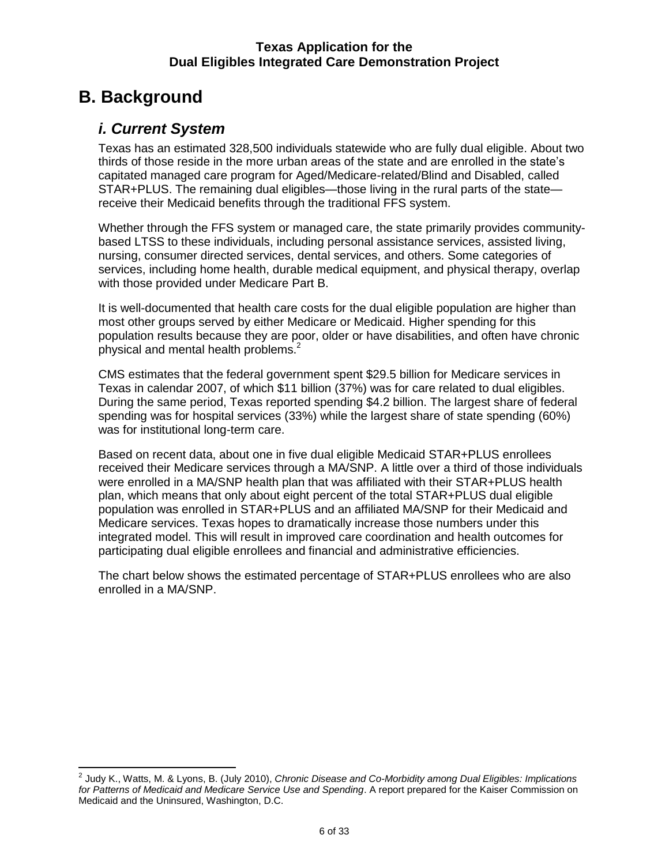# <span id="page-6-1"></span><span id="page-6-0"></span>**B. Background**

### *i. Current System*

Texas has an estimated 328,500 individuals statewide who are fully dual eligible. About two thirds of those reside in the more urban areas of the state and are enrolled in the state's capitated managed care program for Aged/Medicare-related/Blind and Disabled, called STAR+PLUS. The remaining dual eligibles—those living in the rural parts of the state receive their Medicaid benefits through the traditional FFS system.

Whether through the FFS system or managed care, the state primarily provides communitybased LTSS to these individuals, including personal assistance services, assisted living, nursing, consumer directed services, dental services, and others. Some categories of services, including home health, durable medical equipment, and physical therapy, overlap with those provided under Medicare Part B.

It is well-documented that health care costs for the dual eligible population are higher than most other groups served by either Medicare or Medicaid. Higher spending for this population results because they are poor, older or have disabilities, and often have chronic physical and mental health problems. $2$ 

CMS estimates that the federal government spent \$29.5 billion for Medicare services in Texas in calendar 2007, of which \$11 billion (37%) was for care related to dual eligibles. During the same period, Texas reported spending \$4.2 billion. The largest share of federal spending was for hospital services (33%) while the largest share of state spending (60%) was for institutional long-term care.

Based on recent data, about one in five dual eligible Medicaid STAR+PLUS enrollees received their Medicare services through a MA/SNP. A little over a third of those individuals were enrolled in a MA/SNP health plan that was affiliated with their STAR+PLUS health plan, which means that only about eight percent of the total STAR+PLUS dual eligible population was enrolled in STAR+PLUS and an affiliated MA/SNP for their Medicaid and Medicare services. Texas hopes to dramatically increase those numbers under this integrated model. This will result in improved care coordination and health outcomes for participating dual eligible enrollees and financial and administrative efficiencies.

The chart below shows the estimated percentage of STAR+PLUS enrollees who are also enrolled in a MA/SNP.

 2 Judy K., Watts, M. & Lyons, B. (July 2010), *Chronic Disease and Co-Morbidity among Dual Eligibles: Implications for Patterns of Medicaid and Medicare Service Use and Spending*. A report prepared for the Kaiser Commission on Medicaid and the Uninsured, Washington, D.C.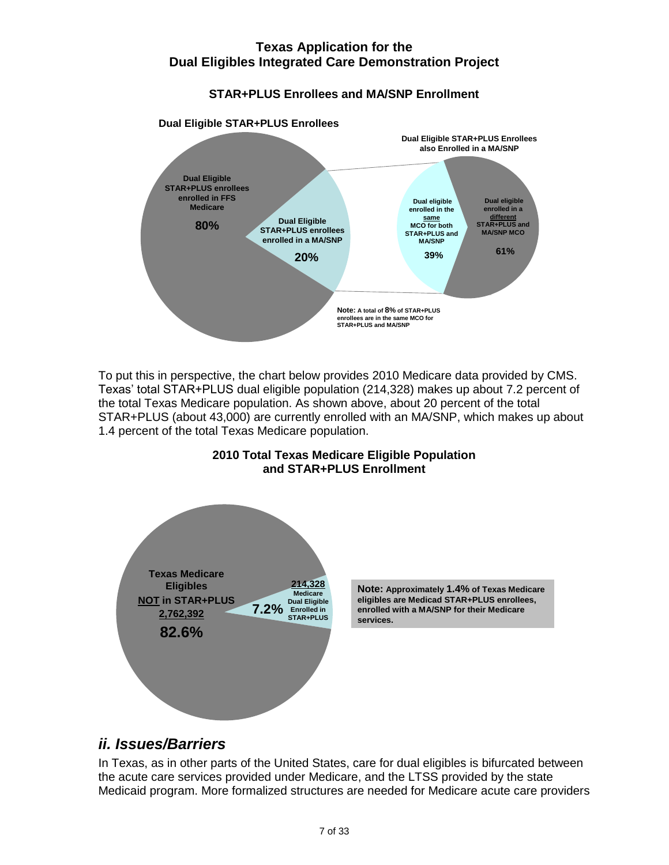### **STAR+PLUS Enrollees and MA/SNP Enrollment**



To put this in perspective, the chart below provides 2010 Medicare data provided by CMS. Texas' total STAR+PLUS dual eligible population (214,328) makes up about 7.2 percent of the total Texas Medicare population. As shown above, about 20 percent of the total STAR+PLUS (about 43,000) are currently enrolled with an MA/SNP, which makes up about 1.4 percent of the total Texas Medicare population.

<span id="page-7-0"></span>

### **2010 Total Texas Medicare Eligible Population and STAR+PLUS Enrollment**

**Note: Approximately 1.4% of Texas Medicare Note: Approximately 1.4% of Texas Medicar**<br>eligibles are Medicad STAR+PLUS enrollees,<br>enrolled with a MA/SNP for their Medicare **enrolled with a MA/SNP for their Medicare** 

# *ii. Issues/Barriers*

In Texas, as in other parts of the United States, care for dual eligibles is bifurcated between the acute care services provided under Medicare, and the LTSS provided by the state Medicaid program. More formalized structures are needed for Medicare acute care providers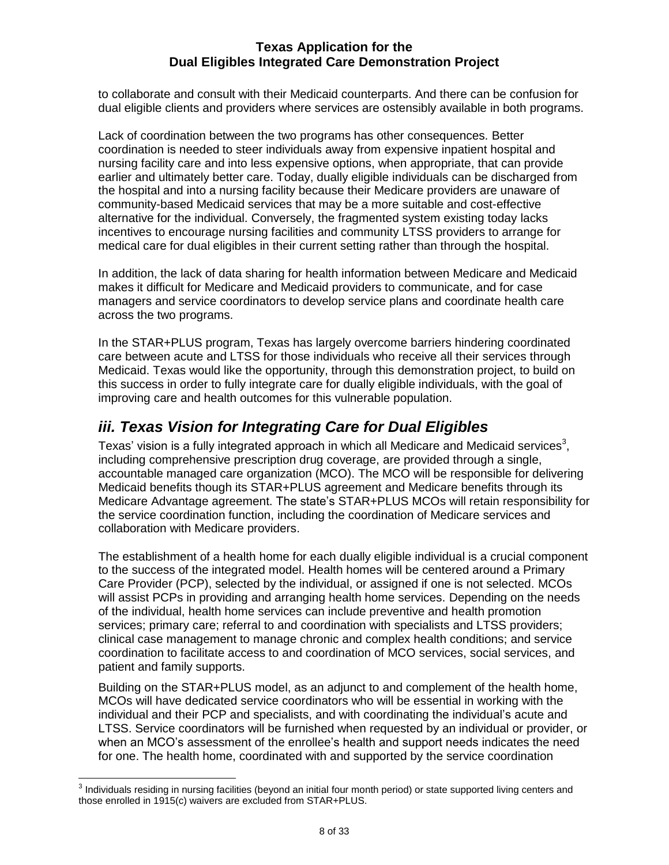to collaborate and consult with their Medicaid counterparts. And there can be confusion for dual eligible clients and providers where services are ostensibly available in both programs.

Lack of coordination between the two programs has other consequences. Better coordination is needed to steer individuals away from expensive inpatient hospital and nursing facility care and into less expensive options, when appropriate, that can provide earlier and ultimately better care. Today, dually eligible individuals can be discharged from the hospital and into a nursing facility because their Medicare providers are unaware of community-based Medicaid services that may be a more suitable and cost-effective alternative for the individual. Conversely, the fragmented system existing today lacks incentives to encourage nursing facilities and community LTSS providers to arrange for medical care for dual eligibles in their current setting rather than through the hospital.

In addition, the lack of data sharing for health information between Medicare and Medicaid makes it difficult for Medicare and Medicaid providers to communicate, and for case managers and service coordinators to develop service plans and coordinate health care across the two programs.

In the STAR+PLUS program, Texas has largely overcome barriers hindering coordinated care between acute and LTSS for those individuals who receive all their services through Medicaid. Texas would like the opportunity, through this demonstration project, to build on this success in order to fully integrate care for dually eligible individuals, with the goal of improving care and health outcomes for this vulnerable population.

# <span id="page-8-0"></span>*iii. Texas Vision for Integrating Care for Dual Eligibles*

Texas' vision is a fully integrated approach in which all Medicare and Medicaid services<sup>3</sup>, including comprehensive prescription drug coverage, are provided through a single, accountable managed care organization (MCO). The MCO will be responsible for delivering Medicaid benefits though its STAR+PLUS agreement and Medicare benefits through its Medicare Advantage agreement. The state's STAR+PLUS MCOs will retain responsibility for the service coordination function, including the coordination of Medicare services and collaboration with Medicare providers.

The establishment of a health home for each dually eligible individual is a crucial component to the success of the integrated model. Health homes will be centered around a Primary Care Provider (PCP), selected by the individual, or assigned if one is not selected. MCOs will assist PCPs in providing and arranging health home services. Depending on the needs of the individual, health home services can include preventive and health promotion services; primary care; referral to and coordination with specialists and LTSS providers; clinical case management to manage chronic and complex health conditions; and service coordination to facilitate access to and coordination of MCO services, social services, and patient and family supports.

Building on the STAR+PLUS model, as an adjunct to and complement of the health home, MCOs will have dedicated service coordinators who will be essential in working with the individual and their PCP and specialists, and with coordinating the individual's acute and LTSS. Service coordinators will be furnished when requested by an individual or provider, or when an MCO's assessment of the enrollee's health and support needs indicates the need for one. The health home, coordinated with and supported by the service coordination

 3 Individuals residing in nursing facilities (beyond an initial four month period) or state supported living centers and those enrolled in 1915(c) waivers are excluded from STAR+PLUS.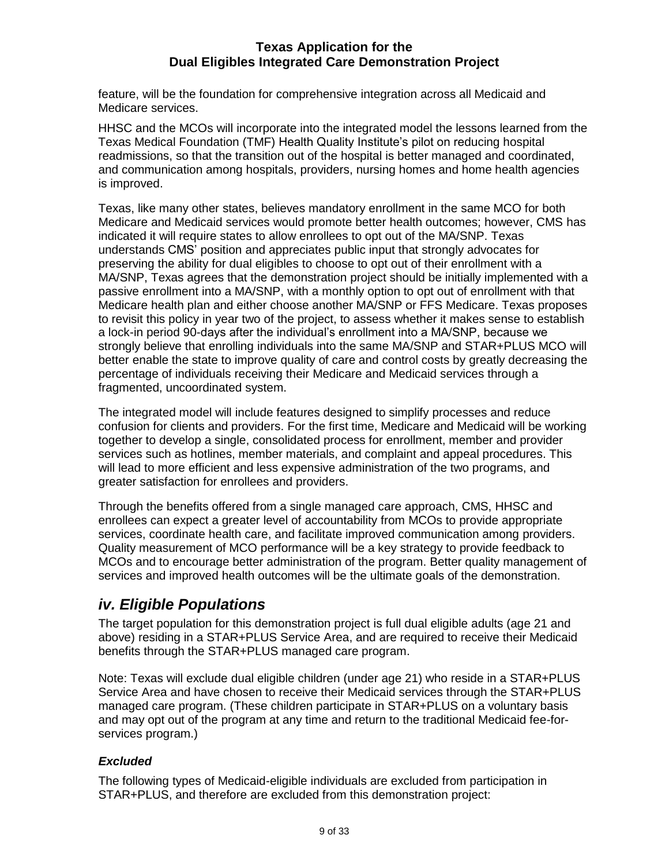feature, will be the foundation for comprehensive integration across all Medicaid and Medicare services.

HHSC and the MCOs will incorporate into the integrated model the lessons learned from the Texas Medical Foundation (TMF) Health Quality Institute's pilot on reducing hospital readmissions, so that the transition out of the hospital is better managed and coordinated, and communication among hospitals, providers, nursing homes and home health agencies is improved.

Texas, like many other states, believes mandatory enrollment in the same MCO for both Medicare and Medicaid services would promote better health outcomes; however, CMS has indicated it will require states to allow enrollees to opt out of the MA/SNP. Texas understands CMS' position and appreciates public input that strongly advocates for preserving the ability for dual eligibles to choose to opt out of their enrollment with a MA/SNP, Texas agrees that the demonstration project should be initially implemented with a passive enrollment into a MA/SNP, with a monthly option to opt out of enrollment with that Medicare health plan and either choose another MA/SNP or FFS Medicare. Texas proposes to revisit this policy in year two of the project, to assess whether it makes sense to establish a lock-in period 90-days after the individual's enrollment into a MA/SNP, because we strongly believe that enrolling individuals into the same MA/SNP and STAR+PLUS MCO will better enable the state to improve quality of care and control costs by greatly decreasing the percentage of individuals receiving their Medicare and Medicaid services through a fragmented, uncoordinated system.

The integrated model will include features designed to simplify processes and reduce confusion for clients and providers. For the first time, Medicare and Medicaid will be working together to develop a single, consolidated process for enrollment, member and provider services such as hotlines, member materials, and complaint and appeal procedures. This will lead to more efficient and less expensive administration of the two programs, and greater satisfaction for enrollees and providers.

Through the benefits offered from a single managed care approach, CMS, HHSC and enrollees can expect a greater level of accountability from MCOs to provide appropriate services, coordinate health care, and facilitate improved communication among providers. Quality measurement of MCO performance will be a key strategy to provide feedback to MCOs and to encourage better administration of the program. Better quality management of services and improved health outcomes will be the ultimate goals of the demonstration.

# <span id="page-9-0"></span>*iv. Eligible Populations*

The target population for this demonstration project is full dual eligible adults (age 21 and above) residing in a STAR+PLUS Service Area, and are required to receive their Medicaid benefits through the STAR+PLUS managed care program.

Note: Texas will exclude dual eligible children (under age 21) who reside in a STAR+PLUS Service Area and have chosen to receive their Medicaid services through the STAR+PLUS managed care program. (These children participate in STAR+PLUS on a voluntary basis and may opt out of the program at any time and return to the traditional Medicaid fee-forservices program.)

### *Excluded*

The following types of Medicaid-eligible individuals are excluded from participation in STAR+PLUS, and therefore are excluded from this demonstration project: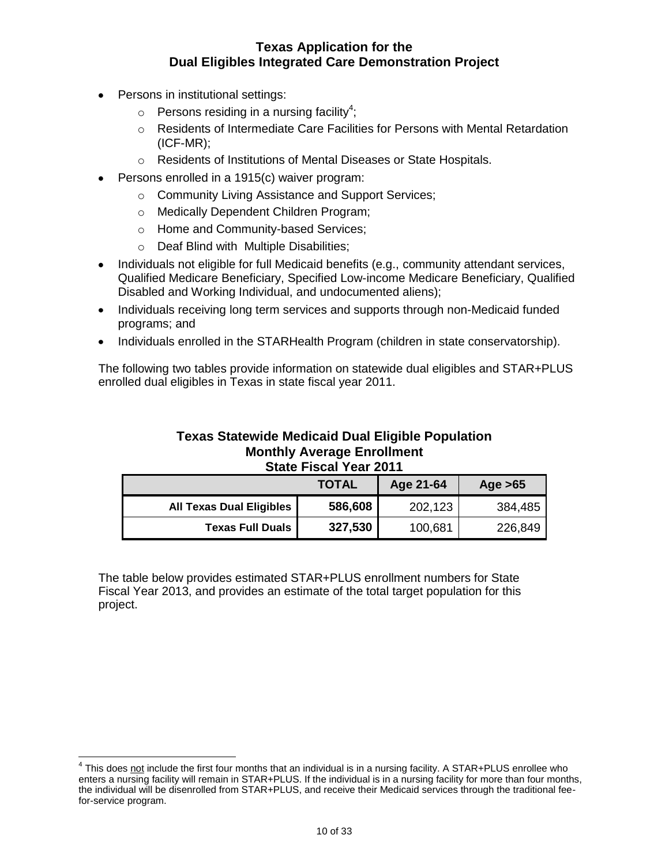- Persons in institutional settings:
	- $\circ$  Persons residing in a nursing facility<sup>4</sup>;
	- o Residents of Intermediate Care Facilities for Persons with Mental Retardation (ICF-MR);
	- o Residents of Institutions of Mental Diseases or State Hospitals.
- Persons enrolled in a 1915(c) waiver program:
	- o Community Living Assistance and Support Services;
	- o Medically Dependent Children Program;
	- o Home and Community-based Services;
	- o Deaf Blind with Multiple Disabilities;
- Individuals not eligible for full Medicaid benefits (e.g., community attendant services, Qualified Medicare Beneficiary, Specified Low-income Medicare Beneficiary, Qualified Disabled and Working Individual, and undocumented aliens);
- Individuals receiving long term services and supports through non-Medicaid funded programs; and
- Individuals enrolled in the STARHealth Program (children in state conservatorship).

The following two tables provide information on statewide dual eligibles and STAR+PLUS enrolled dual eligibles in Texas in state fiscal year 2011.

#### **Texas Statewide Medicaid Dual Eligible Population Monthly Average Enrollment State Fiscal Year 2011**

|                                 | <b>TOTAL</b> | Age 21-64 | Age $>65$ |
|---------------------------------|--------------|-----------|-----------|
| <b>All Texas Dual Eligibles</b> | 586,608      | 202,123   | 384,485   |
| <b>Texas Full Duals</b>         | 327,530      | 100,681   | 226,849   |

The table below provides estimated STAR+PLUS enrollment numbers for State Fiscal Year 2013, and provides an estimate of the total target population for this project.

<sup>————————————————————&</sup>lt;br><sup>4</sup> This does <u>not</u> include the first four months that an individual is in a nursing facility. A STAR+PLUS enrollee who enters a nursing facility will remain in STAR+PLUS. If the individual is in a nursing facility for more than four months, the individual will be disenrolled from STAR+PLUS, and receive their Medicaid services through the traditional feefor-service program.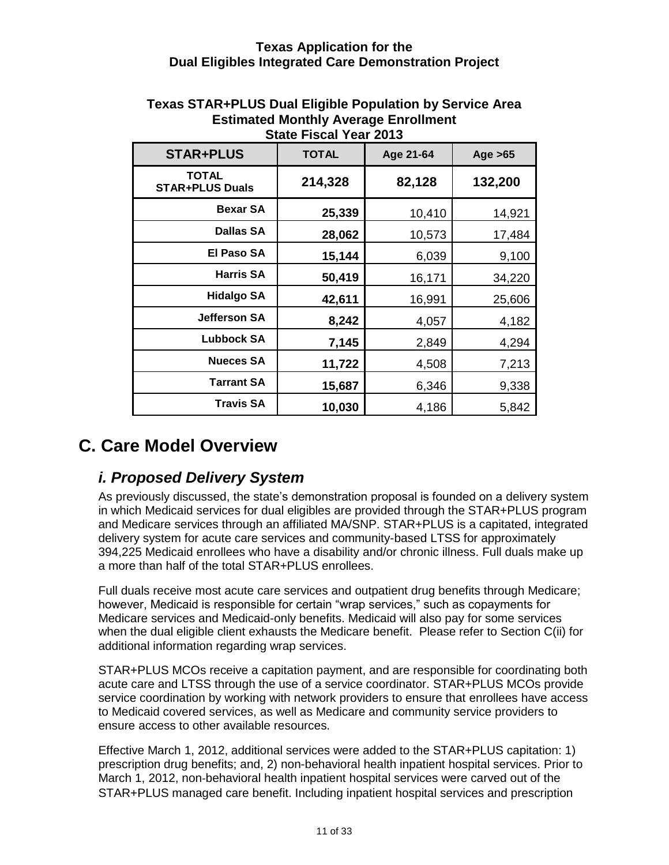| <b>STAR+PLUS</b>                       | <b>TOTAL</b> | Age 21-64 | Age $>65$ |  |
|----------------------------------------|--------------|-----------|-----------|--|
| <b>TOTAL</b><br><b>STAR+PLUS Duals</b> | 214,328      | 82,128    | 132,200   |  |
| <b>Bexar SA</b>                        | 25,339       | 10,410    | 14,921    |  |
| <b>Dallas SA</b>                       | 28,062       | 10,573    | 17,484    |  |
| <b>El Paso SA</b>                      | 15,144       | 6,039     | 9,100     |  |
| <b>Harris SA</b>                       | 50,419       | 16,171    | 34,220    |  |
| <b>Hidalgo SA</b>                      | 42,611       | 16,991    | 25,606    |  |
| <b>Jefferson SA</b>                    | 8,242        | 4,057     | 4,182     |  |
| <b>Lubbock SA</b>                      | 7,145        | 2,849     | 4,294     |  |
| <b>Nueces SA</b>                       | 11,722       | 4,508     | 7,213     |  |
| <b>Tarrant SA</b>                      | 15,687       | 6,346     | 9,338     |  |
| Travis SA                              | 10,030       | 4,186     | 5,842     |  |

#### **Texas STAR+PLUS Dual Eligible Population by Service Area Estimated Monthly Average Enrollment State Fiscal Year 2013**

# <span id="page-11-1"></span><span id="page-11-0"></span>**C. Care Model Overview**

# *i. Proposed Delivery System*

As previously discussed, the state's demonstration proposal is founded on a delivery system in which Medicaid services for dual eligibles are provided through the STAR+PLUS program and Medicare services through an affiliated MA/SNP. STAR+PLUS is a capitated, integrated delivery system for acute care services and community-based LTSS for approximately 394,225 Medicaid enrollees who have a disability and/or chronic illness. Full duals make up a more than half of the total STAR+PLUS enrollees.

Full duals receive most acute care services and outpatient drug benefits through Medicare; however, Medicaid is responsible for certain "wrap services," such as copayments for Medicare services and Medicaid-only benefits. Medicaid will also pay for some services when the dual eligible client exhausts the Medicare benefit. Please refer to Section C(ii) for additional information regarding wrap services.

STAR+PLUS MCOs receive a capitation payment, and are responsible for coordinating both acute care and LTSS through the use of a service coordinator. STAR+PLUS MCOs provide service coordination by working with network providers to ensure that enrollees have access to Medicaid covered services, as well as Medicare and community service providers to ensure access to other available resources.

Effective March 1, 2012, additional services were added to the STAR+PLUS capitation: 1) prescription drug benefits; and, 2) non-behavioral health inpatient hospital services. Prior to March 1, 2012, non‐behavioral health inpatient hospital services were carved out of the STAR+PLUS managed care benefit. Including inpatient hospital services and prescription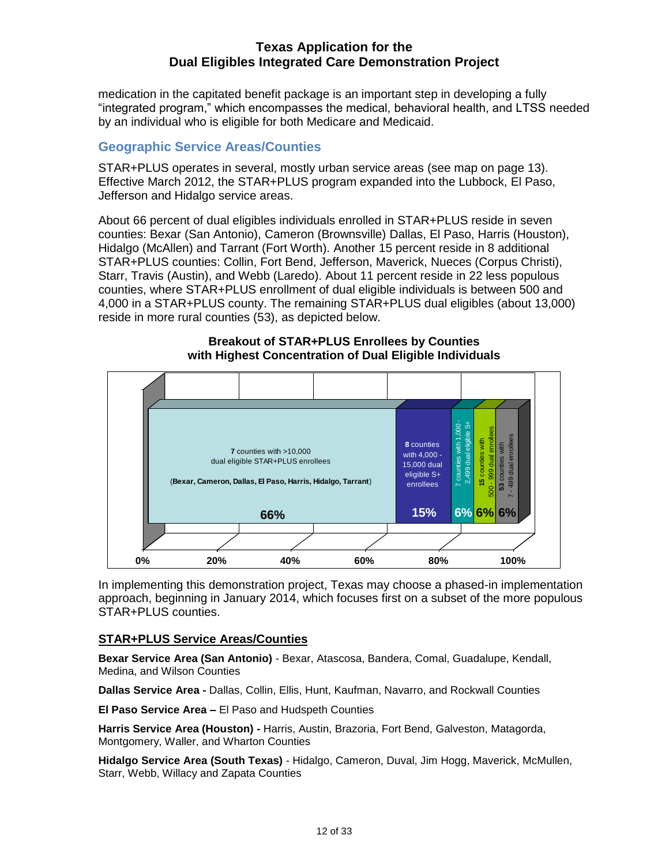medication in the capitated benefit package is an important step in developing a fully ―integrated program,‖ which encompasses the medical, behavioral health, and LTSS needed by an individual who is eligible for both Medicare and Medicaid.

### <span id="page-12-0"></span>**Geographic Service Areas/Counties**

STAR+PLUS operates in several, mostly urban service areas (see map on page 13). Effective March 2012, the STAR+PLUS program expanded into the Lubbock, El Paso, Jefferson and Hidalgo service areas.

About 66 percent of dual eligibles individuals enrolled in STAR+PLUS reside in seven counties: Bexar (San Antonio), Cameron (Brownsville) Dallas, El Paso, Harris (Houston), Hidalgo (McAllen) and Tarrant (Fort Worth). Another 15 percent reside in 8 additional STAR+PLUS counties: Collin, Fort Bend, Jefferson, Maverick, Nueces (Corpus Christi), Starr, Travis (Austin), and Webb (Laredo). About 11 percent reside in 22 less populous counties, where STAR+PLUS enrollment of dual eligible individuals is between 500 and 4,000 in a STAR+PLUS county. The remaining STAR+PLUS dual eligibles (about 13,000) reside in more rural counties (53), as depicted below.



**Breakout of STAR+PLUS Enrollees by Counties with Highest Concentration of Dual Eligible Individuals** 

In implementing this demonstration project, Texas may choose a phased-in implementation approach, beginning in January 2014, which focuses first on a subset of the more populous STAR+PLUS counties.

### **STAR+PLUS Service Areas/Counties**

**Bexar Service Area (San Antonio)** - Bexar, Atascosa, Bandera, Comal, Guadalupe, Kendall, Medina, and Wilson Counties

**Dallas Service Area -** Dallas, Collin, Ellis, Hunt, Kaufman, Navarro, and Rockwall Counties

**El Paso Service Area –** El Paso and Hudspeth Counties

**Harris Service Area (Houston) -** Harris, Austin, Brazoria, Fort Bend, Galveston, Matagorda, Montgomery, Waller, and Wharton Counties

**Hidalgo Service Area (South Texas)** - Hidalgo, Cameron, Duval, Jim Hogg, Maverick, McMullen, Starr, Webb, Willacy and Zapata Counties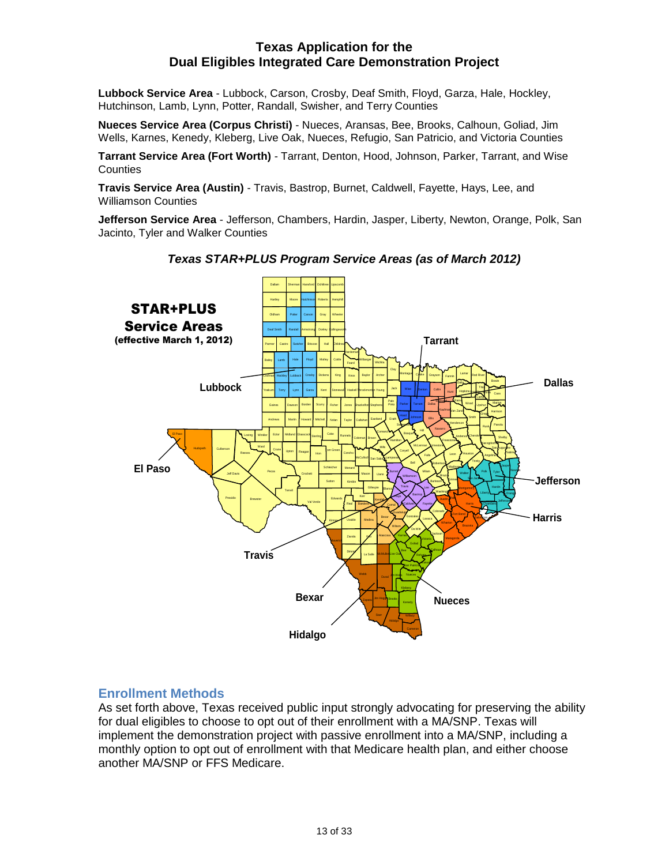**Lubbock Service Area** - Lubbock, Carson, Crosby, Deaf Smith, Floyd, Garza, Hale, Hockley, Hutchinson, Lamb, Lynn, Potter, Randall, Swisher, and Terry Counties

**Nueces Service Area (Corpus Christi)** - Nueces, Aransas, Bee, Brooks, Calhoun, Goliad, Jim Wells, Karnes, Kenedy, Kleberg, Live Oak, Nueces, Refugio, San Patricio, and Victoria Counties

**Tarrant Service Area (Fort Worth)** - Tarrant, Denton, Hood, Johnson, Parker, Tarrant, and Wise **Counties** 

**Travis Service Area (Austin)** - Travis, Bastrop, Burnet, Caldwell, Fayette, Hays, Lee, and Williamson Counties

**Jefferson Service Area** - Jefferson, Chambers, Hardin, Jasper, Liberty, Newton, Orange, Polk, San Jacinto, Tyler and Walker Counties



*Texas STAR+PLUS Program Service Areas (as of March 2012)*

### <span id="page-13-0"></span>**Enrollment Methods**

As set forth above, Texas received public input strongly advocating for preserving the ability for dual eligibles to choose to opt out of their enrollment with a MA/SNP. Texas will implement the demonstration project with passive enrollment into a MA/SNP, including a monthly option to opt out of enrollment with that Medicare health plan, and either choose another MA/SNP or FFS Medicare.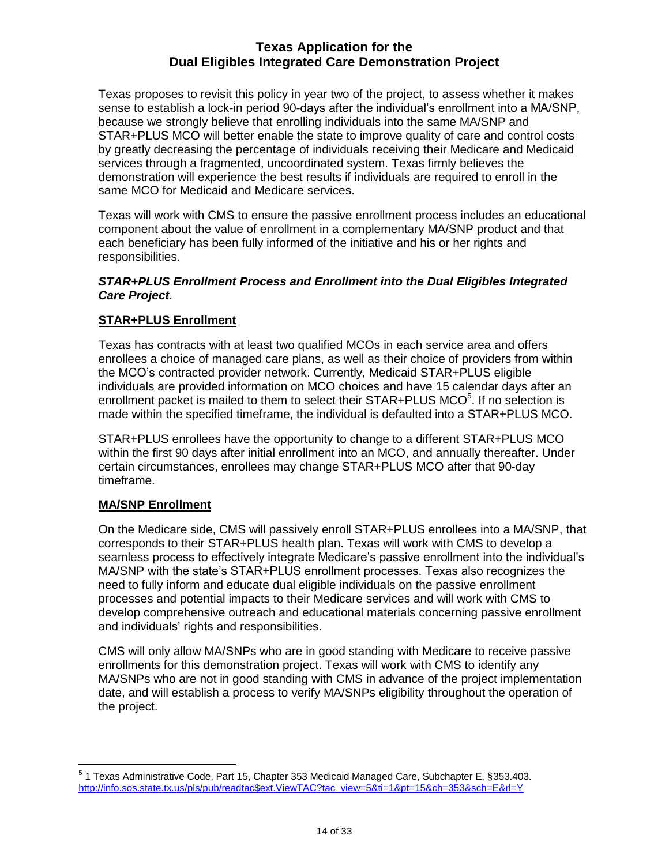Texas proposes to revisit this policy in year two of the project, to assess whether it makes sense to establish a lock-in period 90-days after the individual's enrollment into a MA/SNP, because we strongly believe that enrolling individuals into the same MA/SNP and STAR+PLUS MCO will better enable the state to improve quality of care and control costs by greatly decreasing the percentage of individuals receiving their Medicare and Medicaid services through a fragmented, uncoordinated system. Texas firmly believes the demonstration will experience the best results if individuals are required to enroll in the same MCO for Medicaid and Medicare services.

Texas will work with CMS to ensure the passive enrollment process includes an educational component about the value of enrollment in a complementary MA/SNP product and that each beneficiary has been fully informed of the initiative and his or her rights and responsibilities.

### *STAR+PLUS Enrollment Process and Enrollment into the Dual Eligibles Integrated Care Project.*

### **STAR+PLUS Enrollment**

Texas has contracts with at least two qualified MCOs in each service area and offers enrollees a choice of managed care plans, as well as their choice of providers from within the MCO's contracted provider network. Currently, Medicaid STAR+PLUS eligible individuals are provided information on MCO choices and have 15 calendar days after an enrollment packet is mailed to them to select their STAR+PLUS MCO<sup>5</sup>. If no selection is made within the specified timeframe, the individual is defaulted into a STAR+PLUS MCO.

STAR+PLUS enrollees have the opportunity to change to a different STAR+PLUS MCO within the first 90 days after initial enrollment into an MCO, and annually thereafter. Under certain circumstances, enrollees may change STAR+PLUS MCO after that 90-day timeframe.

### **MA/SNP Enrollment**

On the Medicare side, CMS will passively enroll STAR+PLUS enrollees into a MA/SNP, that corresponds to their STAR+PLUS health plan. Texas will work with CMS to develop a seamless process to effectively integrate Medicare's passive enrollment into the individual's MA/SNP with the state's STAR+PLUS enrollment processes. Texas also recognizes the need to fully inform and educate dual eligible individuals on the passive enrollment processes and potential impacts to their Medicare services and will work with CMS to develop comprehensive outreach and educational materials concerning passive enrollment and individuals' rights and responsibilities.

CMS will only allow MA/SNPs who are in good standing with Medicare to receive passive enrollments for this demonstration project. Texas will work with CMS to identify any MA/SNPs who are not in good standing with CMS in advance of the project implementation date, and will establish a process to verify MA/SNPs eligibility throughout the operation of the project.

 5 1 Texas Administrative Code, Part 15, Chapter 353 Medicaid Managed Care, Subchapter E, §353.403. [http://info.sos.state.tx.us/pls/pub/readtac\\$ext.ViewTAC?tac\\_view=5&ti=1&pt=15&ch=353&sch=E&rl=Y](http://info.sos.state.tx.us/pls/pub/readtac$ext.ViewTAC?tac_view=5&ti=1&pt=15&ch=353&sch=E&rl=Y)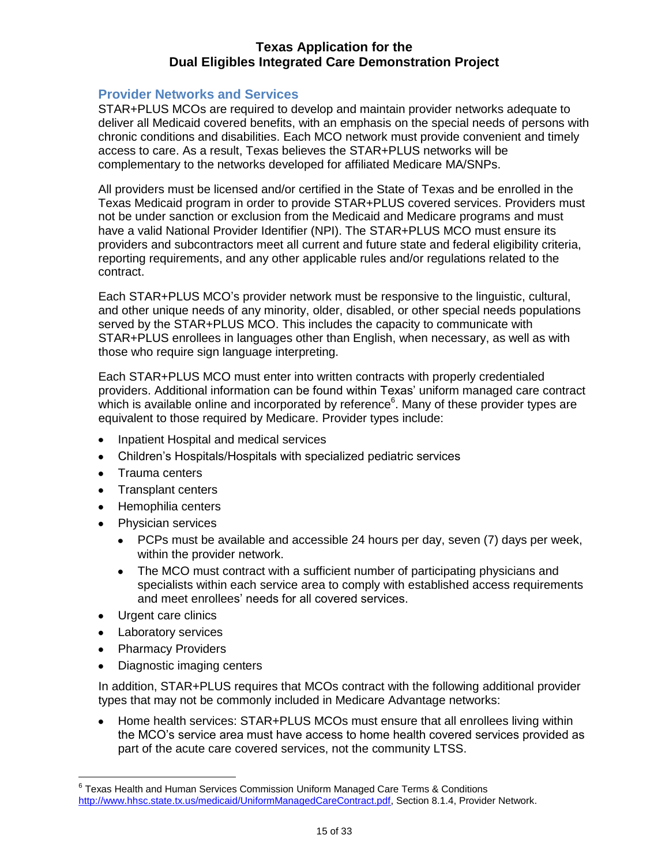#### <span id="page-15-0"></span>**Provider Networks and Services**

STAR+PLUS MCOs are required to develop and maintain provider networks adequate to deliver all Medicaid covered benefits, with an emphasis on the special needs of persons with chronic conditions and disabilities. Each MCO network must provide convenient and timely access to care. As a result, Texas believes the STAR+PLUS networks will be complementary to the networks developed for affiliated Medicare MA/SNPs.

All providers must be licensed and/or certified in the State of Texas and be enrolled in the Texas Medicaid program in order to provide STAR+PLUS covered services. Providers must not be under sanction or exclusion from the Medicaid and Medicare programs and must have a valid National Provider Identifier (NPI). The STAR+PLUS MCO must ensure its providers and subcontractors meet all current and future state and federal eligibility criteria, reporting requirements, and any other applicable rules and/or regulations related to the contract.

Each STAR+PLUS MCO's provider network must be responsive to the linguistic, cultural, and other unique needs of any minority, older, disabled, or other special needs populations served by the STAR+PLUS MCO. This includes the capacity to communicate with STAR+PLUS enrollees in languages other than English, when necessary, as well as with those who require sign language interpreting.

Each STAR+PLUS MCO must enter into written contracts with properly credentialed providers. Additional information can be found within Texas' uniform managed care contract which is available online and incorporated by reference $^6$ . Many of these provider types are equivalent to those required by Medicare. Provider types include:

- Inpatient Hospital and medical services
- Children's Hospitals/Hospitals with specialized pediatric services  $\bullet$
- Trauma centers
- Transplant centers
- Hemophilia centers
- Physician services
	- PCPs must be available and accessible 24 hours per day, seven (7) days per week, within the provider network.
	- The MCO must contract with a sufficient number of participating physicians and specialists within each service area to comply with established access requirements and meet enrollees' needs for all covered services.
- Urgent care clinics
- Laboratory services
- Pharmacy Providers
- Diagnostic imaging centers

In addition, STAR+PLUS requires that MCOs contract with the following additional provider types that may not be commonly included in Medicare Advantage networks:

• Home health services: STAR+PLUS MCOs must ensure that all enrollees living within the MCO's service area must have access to home health covered services provided as part of the acute care covered services, not the community LTSS.

 6 Texas Health and Human Services Commission Uniform Managed Care Terms & Conditions [http://www.hhsc.state.tx.us/medicaid/UniformManagedCareContract.pdf,](http://www.hhsc.state.tx.us/medicaid/UniformManagedCareContract.pdf) Section 8.1.4, Provider Network.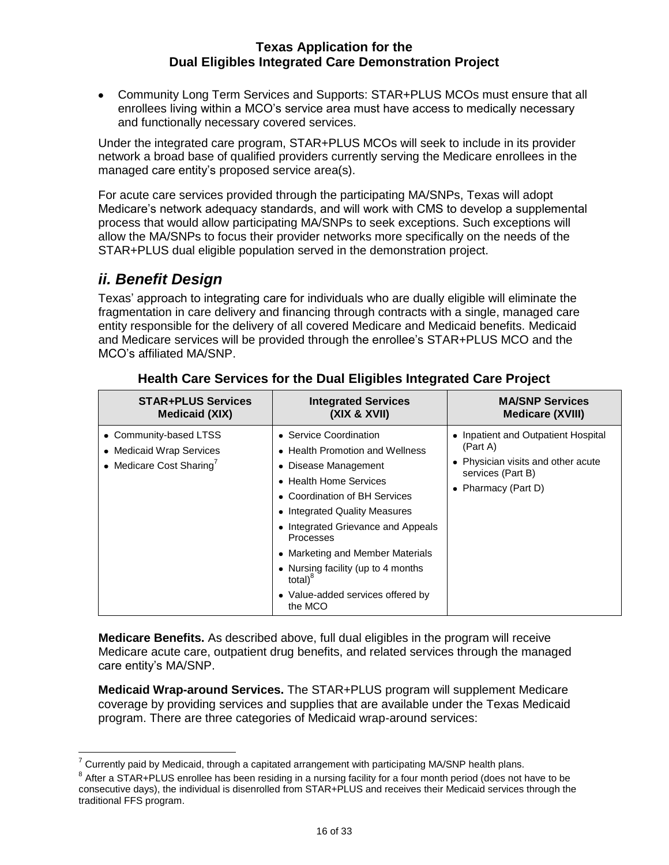Community Long Term Services and Supports: STAR+PLUS MCOs must ensure that all enrollees living within a MCO's service area must have access to medically necessary and functionally necessary covered services.

Under the integrated care program, STAR+PLUS MCOs will seek to include in its provider network a broad base of qualified providers currently serving the Medicare enrollees in the managed care entity's proposed service area(s).

For acute care services provided through the participating MA/SNPs, Texas will adopt Medicare's network adequacy standards, and will work with CMS to develop a supplemental process that would allow participating MA/SNPs to seek exceptions. Such exceptions will allow the MA/SNPs to focus their provider networks more specifically on the needs of the STAR+PLUS dual eligible population served in the demonstration project.

# <span id="page-16-0"></span>*ii. Benefit Design*

Texas' approach to integrating care for individuals who are dually eligible will eliminate the fragmentation in care delivery and financing through contracts with a single, managed care entity responsible for the delivery of all covered Medicare and Medicaid benefits. Medicaid and Medicare services will be provided through the enrollee's STAR+PLUS MCO and the MCO's affiliated MA/SNP.

| <b>STAR+PLUS Services</b>                                                                  | <b>Integrated Services</b>                                                                                                                                                                                                                                                                                                                                                        | <b>MA/SNP Services</b>                                                                                                            |
|--------------------------------------------------------------------------------------------|-----------------------------------------------------------------------------------------------------------------------------------------------------------------------------------------------------------------------------------------------------------------------------------------------------------------------------------------------------------------------------------|-----------------------------------------------------------------------------------------------------------------------------------|
| <b>Medicaid (XIX)</b>                                                                      | (XIX & XVII)                                                                                                                                                                                                                                                                                                                                                                      | <b>Medicare (XVIII)</b>                                                                                                           |
| • Community-based LTSS<br>• Medicaid Wrap Services<br>• Medicare Cost Sharing <sup>7</sup> | • Service Coordination<br>• Health Promotion and Wellness<br>• Disease Management<br>• Health Home Services<br>• Coordination of BH Services<br>• Integrated Quality Measures<br>• Integrated Grievance and Appeals<br>Processes<br>• Marketing and Member Materials<br>• Nursing facility (up to 4 months<br>total) <sup>o</sup><br>• Value-added services offered by<br>the MCO | • Inpatient and Outpatient Hospital<br>(Part A)<br>• Physician visits and other acute<br>services (Part B)<br>• Pharmacy (Part D) |

**Health Care Services for the Dual Eligibles Integrated Care Project** 

**Medicare Benefits.** As described above, full dual eligibles in the program will receive Medicare acute care, outpatient drug benefits, and related services through the managed care entity's MA/SNP.

**Medicaid Wrap-around Services.** The STAR+PLUS program will supplement Medicare coverage by providing services and supplies that are available under the Texas Medicaid program. There are three categories of Medicaid wrap-around services:

 7 Currently paid by Medicaid, through a capitated arrangement with participating MA/SNP health plans.

 $^8$  After a STAR+PLUS enrollee has been residing in a nursing facility for a four month period (does not have to be consecutive days), the individual is disenrolled from STAR+PLUS and receives their Medicaid services through the traditional FFS program.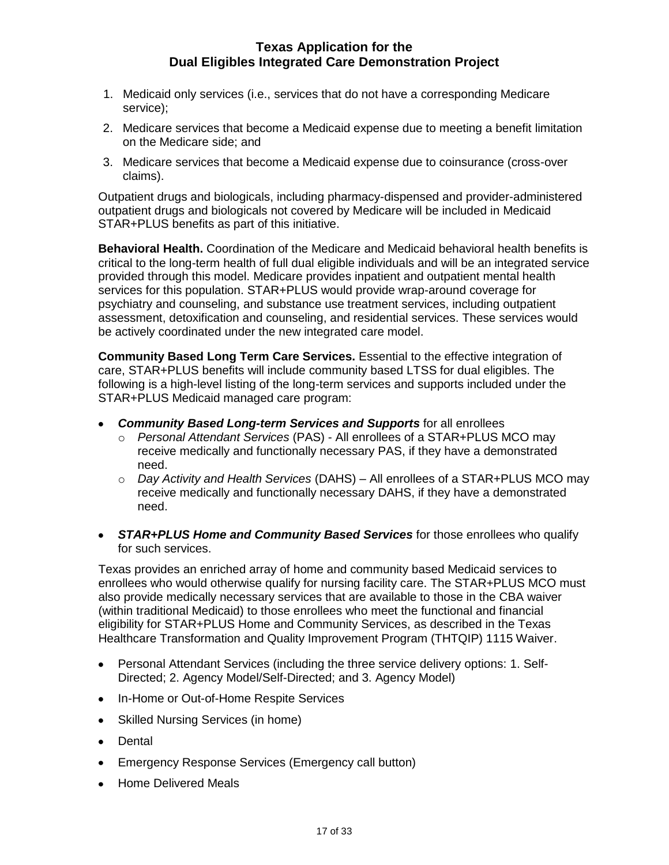- 1. Medicaid only services (i.e., services that do not have a corresponding Medicare service);
- 2. Medicare services that become a Medicaid expense due to meeting a benefit limitation on the Medicare side; and
- 3. Medicare services that become a Medicaid expense due to coinsurance (cross-over claims).

Outpatient drugs and biologicals, including pharmacy-dispensed and provider-administered outpatient drugs and biologicals not covered by Medicare will be included in Medicaid STAR+PLUS benefits as part of this initiative.

**Behavioral Health.** Coordination of the Medicare and Medicaid behavioral health benefits is critical to the long-term health of full dual eligible individuals and will be an integrated service provided through this model. Medicare provides inpatient and outpatient mental health services for this population. STAR+PLUS would provide wrap-around coverage for psychiatry and counseling, and substance use treatment services, including outpatient assessment, detoxification and counseling, and residential services. These services would be actively coordinated under the new integrated care model.

**Community Based Long Term Care Services.** Essential to the effective integration of care, STAR+PLUS benefits will include community based LTSS for dual eligibles. The following is a high-level listing of the long-term services and supports included under the STAR+PLUS Medicaid managed care program:

- *Community Based Long-term Services and Supports* for all enrollees
	- o *Personal Attendant Services* (PAS) All enrollees of a STAR+PLUS MCO may receive medically and functionally necessary PAS, if they have a demonstrated need.
	- o *Day Activity and Health Services* (DAHS) All enrollees of a STAR+PLUS MCO may receive medically and functionally necessary DAHS, if they have a demonstrated need.
- *STAR+PLUS Home and Community Based Services* for those enrollees who qualify for such services.

Texas provides an enriched array of home and community based Medicaid services to enrollees who would otherwise qualify for nursing facility care. The STAR+PLUS MCO must also provide medically necessary services that are available to those in the CBA waiver (within traditional Medicaid) to those enrollees who meet the functional and financial eligibility for STAR+PLUS Home and Community Services, as described in the Texas Healthcare Transformation and Quality Improvement Program (THTQIP) 1115 Waiver.

- Personal Attendant Services (including the three service delivery options: 1. Self-Directed; 2. Agency Model/Self-Directed; and 3. Agency Model)
- In-Home or Out-of-Home Respite Services  $\bullet$
- Skilled Nursing Services (in home)
- Dental
- Emergency Response Services (Emergency call button)
- Home Delivered Meals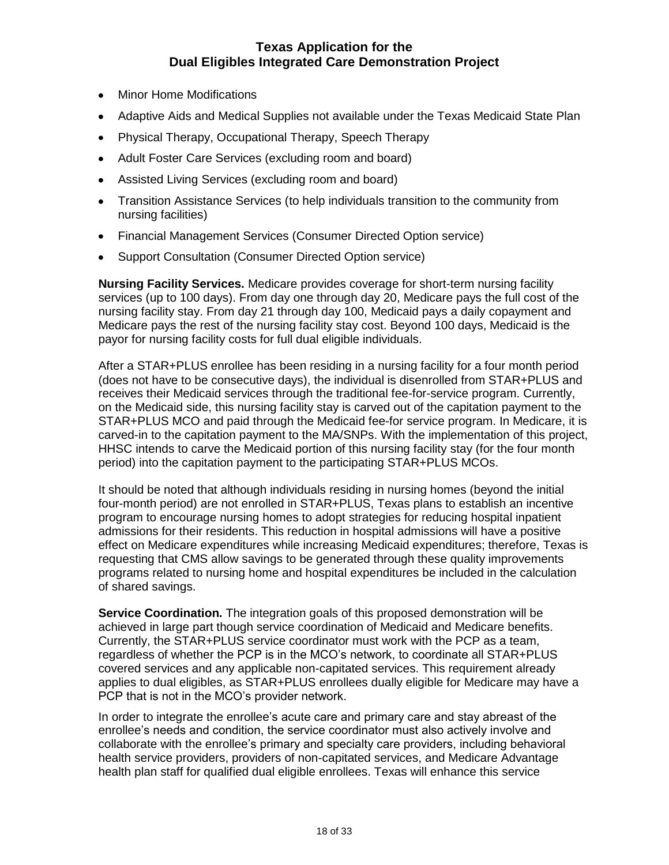- Minor Home Modifications
- Adaptive Aids and Medical Supplies not available under the Texas Medicaid State Plan
- Physical Therapy, Occupational Therapy, Speech Therapy
- Adult Foster Care Services (excluding room and board)
- Assisted Living Services (excluding room and board)
- Transition Assistance Services (to help individuals transition to the community from nursing facilities)
- Financial Management Services (Consumer Directed Option service)
- Support Consultation (Consumer Directed Option service)

**Nursing Facility Services.** Medicare provides coverage for short-term nursing facility services (up to 100 days). From day one through day 20, Medicare pays the full cost of the nursing facility stay. From day 21 through day 100, Medicaid pays a daily copayment and Medicare pays the rest of the nursing facility stay cost. Beyond 100 days, Medicaid is the payor for nursing facility costs for full dual eligible individuals.

After a STAR+PLUS enrollee has been residing in a nursing facility for a four month period (does not have to be consecutive days), the individual is disenrolled from STAR+PLUS and receives their Medicaid services through the traditional fee-for-service program. Currently, on the Medicaid side, this nursing facility stay is carved out of the capitation payment to the STAR+PLUS MCO and paid through the Medicaid fee-for service program. In Medicare, it is carved-in to the capitation payment to the MA/SNPs. With the implementation of this project, HHSC intends to carve the Medicaid portion of this nursing facility stay (for the four month period) into the capitation payment to the participating STAR+PLUS MCOs.

It should be noted that although individuals residing in nursing homes (beyond the initial four-month period) are not enrolled in STAR+PLUS, Texas plans to establish an incentive program to encourage nursing homes to adopt strategies for reducing hospital inpatient admissions for their residents. This reduction in hospital admissions will have a positive effect on Medicare expenditures while increasing Medicaid expenditures; therefore, Texas is requesting that CMS allow savings to be generated through these quality improvements programs related to nursing home and hospital expenditures be included in the calculation of shared savings.

**Service Coordination.** The integration goals of this proposed demonstration will be achieved in large part though service coordination of Medicaid and Medicare benefits. Currently, the STAR+PLUS service coordinator must work with the PCP as a team, regardless of whether the PCP is in the MCO's network, to coordinate all STAR+PLUS covered services and any applicable non-capitated services. This requirement already applies to dual eligibles, as STAR+PLUS enrollees dually eligible for Medicare may have a PCP that is not in the MCO's provider network.

In order to integrate the enrollee's acute care and primary care and stay abreast of the enrollee's needs and condition, the service coordinator must also actively involve and collaborate with the enrollee's primary and specialty care providers, including behavioral health service providers, providers of non-capitated services, and Medicare Advantage health plan staff for qualified dual eligible enrollees. Texas will enhance this service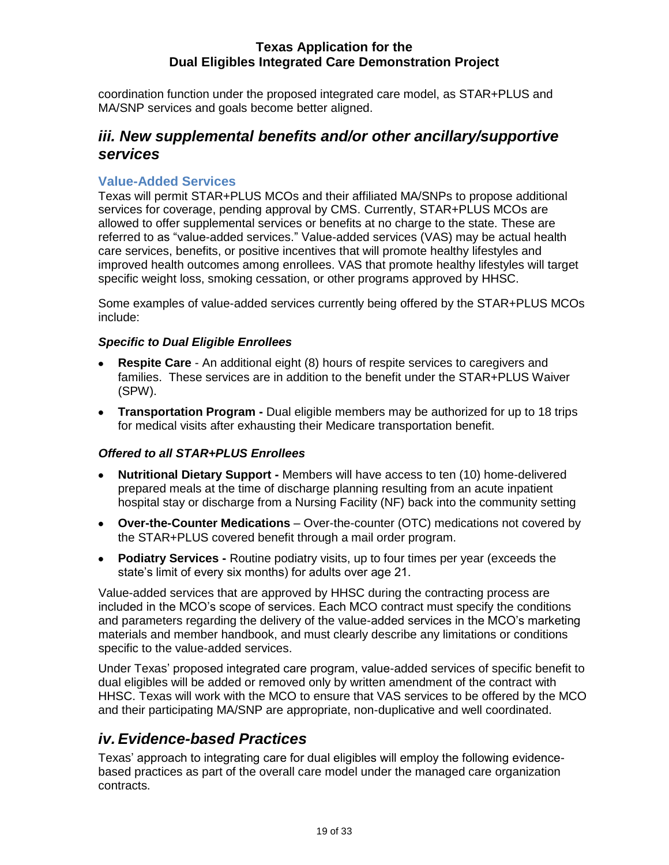coordination function under the proposed integrated care model, as STAR+PLUS and MA/SNP services and goals become better aligned.

### <span id="page-19-0"></span>*iii. New supplemental benefits and/or other ancillary/supportive services*

### <span id="page-19-1"></span>**Value-Added Services**

Texas will permit STAR+PLUS MCOs and their affiliated MA/SNPs to propose additional services for coverage, pending approval by CMS. Currently, STAR+PLUS MCOs are allowed to offer supplemental services or benefits at no charge to the state. These are referred to as "value-added services." Value-added services (VAS) may be actual health care services, benefits, or positive incentives that will promote healthy lifestyles and improved health outcomes among enrollees. VAS that promote healthy lifestyles will target specific weight loss, smoking cessation, or other programs approved by HHSC.

Some examples of value-added services currently being offered by the STAR+PLUS MCOs include:

### *Specific to Dual Eligible Enrollees*

- **Respite Care** An additional eight (8) hours of respite services to caregivers and families. These services are in addition to the benefit under the STAR+PLUS Waiver (SPW).
- **Transportation Program** Dual eligible members may be authorized for up to 18 trips for medical visits after exhausting their Medicare transportation benefit.

### *Offered to all STAR+PLUS Enrollees*

- **Nutritional Dietary Support -** Members will have access to ten (10) home-delivered prepared meals at the time of discharge planning resulting from an acute inpatient hospital stay or discharge from a Nursing Facility (NF) back into the community setting
- **Over-the-Counter Medications** Over-the-counter (OTC) medications not covered by the STAR+PLUS covered benefit through a mail order program.
- **Podiatry Services** Routine podiatry visits, up to four times per year (exceeds the state's limit of every six months) for adults over age 21.

Value-added services that are approved by HHSC during the contracting process are included in the MCO's scope of services. Each MCO contract must specify the conditions and parameters regarding the delivery of the value-added services in the MCO's marketing materials and member handbook, and must clearly describe any limitations or conditions specific to the value-added services.

Under Texas' proposed integrated care program, value-added services of specific benefit to dual eligibles will be added or removed only by written amendment of the contract with HHSC. Texas will work with the MCO to ensure that VAS services to be offered by the MCO and their participating MA/SNP are appropriate, non-duplicative and well coordinated.

### <span id="page-19-2"></span>*iv. Evidence-based Practices*

Texas' approach to integrating care for dual eligibles will employ the following evidencebased practices as part of the overall care model under the managed care organization contracts.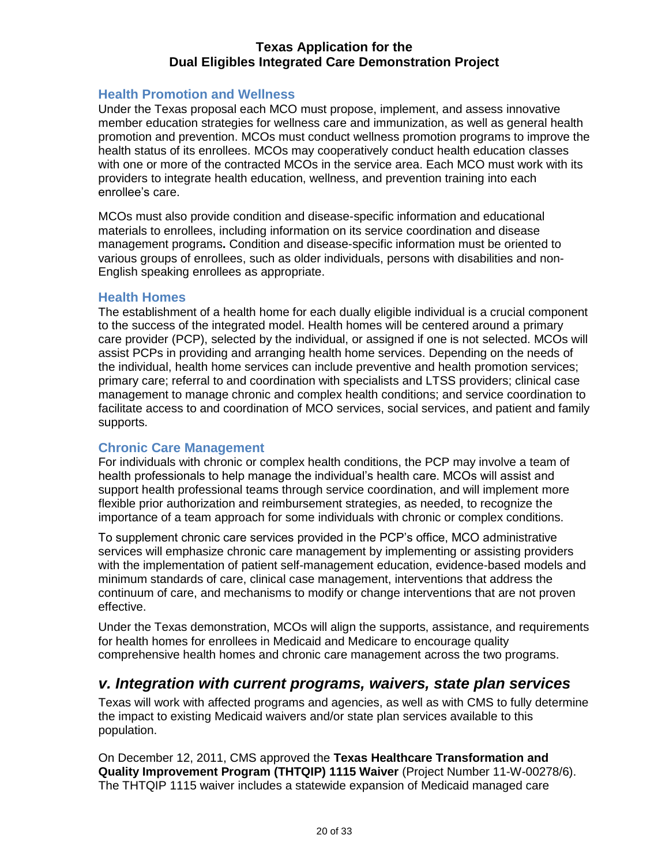### <span id="page-20-0"></span>**Health Promotion and Wellness**

Under the Texas proposal each MCO must propose, implement, and assess innovative member education strategies for wellness care and immunization, as well as general health promotion and prevention. MCOs must conduct wellness promotion programs to improve the health status of its enrollees. MCOs may cooperatively conduct health education classes with one or more of the contracted MCOs in the service area. Each MCO must work with its providers to integrate health education, wellness, and prevention training into each enrollee's care.

MCOs must also provide condition and disease-specific information and educational materials to enrollees, including information on its service coordination and disease management programs**.** Condition and disease-specific information must be oriented to various groups of enrollees, such as older individuals, persons with disabilities and non-English speaking enrollees as appropriate.

### <span id="page-20-1"></span>**Health Homes**

The establishment of a health home for each dually eligible individual is a crucial component to the success of the integrated model. Health homes will be centered around a primary care provider (PCP), selected by the individual, or assigned if one is not selected. MCOs will assist PCPs in providing and arranging health home services. Depending on the needs of the individual, health home services can include preventive and health promotion services; primary care; referral to and coordination with specialists and LTSS providers; clinical case management to manage chronic and complex health conditions; and service coordination to facilitate access to and coordination of MCO services, social services, and patient and family supports.

### <span id="page-20-2"></span>**Chronic Care Management**

For individuals with chronic or complex health conditions, the PCP may involve a team of health professionals to help manage the individual's health care. MCOs will assist and support health professional teams through service coordination, and will implement more flexible prior authorization and reimbursement strategies, as needed, to recognize the importance of a team approach for some individuals with chronic or complex conditions.

To supplement chronic care services provided in the PCP's office, MCO administrative services will emphasize chronic care management by implementing or assisting providers with the implementation of patient self-management education, evidence-based models and minimum standards of care, clinical case management, interventions that address the continuum of care, and mechanisms to modify or change interventions that are not proven effective.

Under the Texas demonstration, MCOs will align the supports, assistance, and requirements for health homes for enrollees in Medicaid and Medicare to encourage quality comprehensive health homes and chronic care management across the two programs.

### <span id="page-20-3"></span>*v. Integration with current programs, waivers, state plan services*

Texas will work with affected programs and agencies, as well as with CMS to fully determine the impact to existing Medicaid waivers and/or state plan services available to this population.

On December 12, 2011, CMS approved the **Texas Healthcare Transformation and Quality Improvement Program (THTQIP) 1115 Waiver** (Project Number 11-W-00278/6). The THTQIP 1115 waiver includes a statewide expansion of Medicaid managed care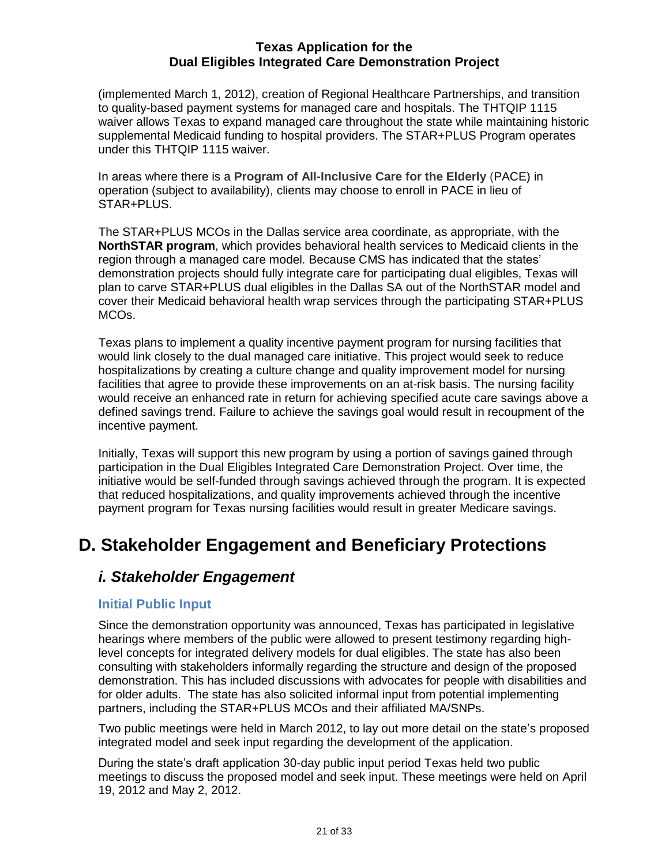(implemented March 1, 2012), creation of Regional Healthcare Partnerships, and transition to quality-based payment systems for managed care and hospitals. The THTQIP 1115 waiver allows Texas to expand managed care throughout the state while maintaining historic supplemental Medicaid funding to hospital providers. The STAR+PLUS Program operates under this THTQIP 1115 waiver.

In areas where there is a **Program of All-Inclusive Care for the Elderly** (PACE) in operation (subject to availability), clients may choose to enroll in PACE in lieu of STAR+PLUS.

The STAR+PLUS MCOs in the Dallas service area coordinate, as appropriate, with the **NorthSTAR program**, which provides behavioral health services to Medicaid clients in the region through a managed care model. Because CMS has indicated that the states' demonstration projects should fully integrate care for participating dual eligibles, Texas will plan to carve STAR+PLUS dual eligibles in the Dallas SA out of the NorthSTAR model and cover their Medicaid behavioral health wrap services through the participating STAR+PLUS MCOs.

Texas plans to implement a quality incentive payment program for nursing facilities that would link closely to the dual managed care initiative. This project would seek to reduce hospitalizations by creating a culture change and quality improvement model for nursing facilities that agree to provide these improvements on an at-risk basis. The nursing facility would receive an enhanced rate in return for achieving specified acute care savings above a defined savings trend. Failure to achieve the savings goal would result in recoupment of the incentive payment.

Initially, Texas will support this new program by using a portion of savings gained through participation in the Dual Eligibles Integrated Care Demonstration Project. Over time, the initiative would be self-funded through savings achieved through the program. It is expected that reduced hospitalizations, and quality improvements achieved through the incentive payment program for Texas nursing facilities would result in greater Medicare savings.

# <span id="page-21-1"></span><span id="page-21-0"></span>**D. Stakeholder Engagement and Beneficiary Protections**

### *i. Stakeholder Engagement*

### <span id="page-21-2"></span>**Initial Public Input**

Since the demonstration opportunity was announced, Texas has participated in legislative hearings where members of the public were allowed to present testimony regarding highlevel concepts for integrated delivery models for dual eligibles. The state has also been consulting with stakeholders informally regarding the structure and design of the proposed demonstration. This has included discussions with advocates for people with disabilities and for older adults. The state has also solicited informal input from potential implementing partners, including the STAR+PLUS MCOs and their affiliated MA/SNPs.

Two public meetings were held in March 2012, to lay out more detail on the state's proposed integrated model and seek input regarding the development of the application.

During the state's draft application 30-day public input period Texas held two public meetings to discuss the proposed model and seek input. These meetings were held on April 19, 2012 and May 2, 2012.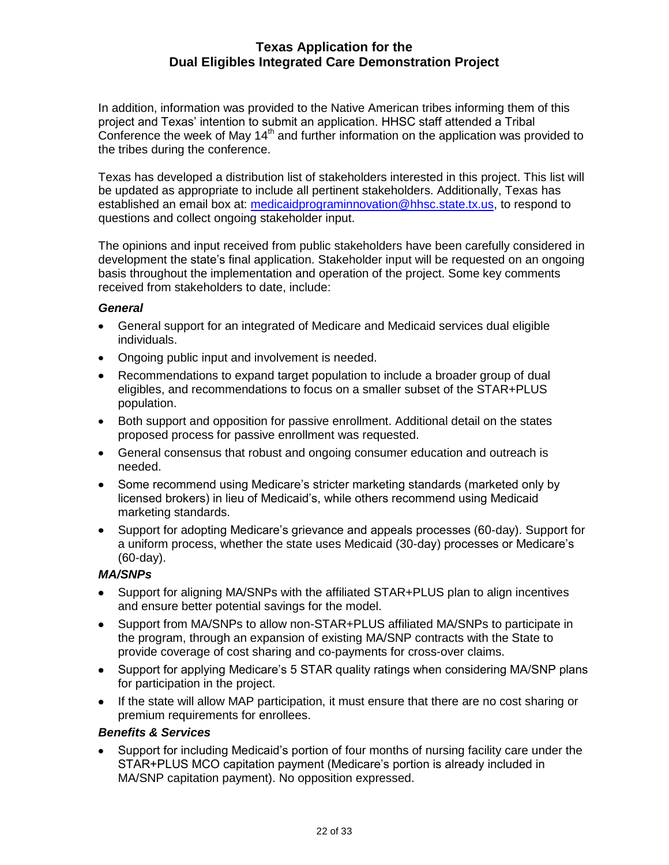In addition, information was provided to the Native American tribes informing them of this project and Texas' intention to submit an application. HHSC staff attended a Tribal Conference the week of May  $14<sup>th</sup>$  and further information on the application was provided to the tribes during the conference.

Texas has developed a distribution list of stakeholders interested in this project. This list will be updated as appropriate to include all pertinent stakeholders. Additionally, Texas has established an email box at: [medicaidprograminnovation@hhsc.state.tx.us,](mailto:medicaidprograminnovation@hhsc.state.tx.us) to respond to questions and collect ongoing stakeholder input.

The opinions and input received from public stakeholders have been carefully considered in development the state's final application. Stakeholder input will be requested on an ongoing basis throughout the implementation and operation of the project. Some key comments received from stakeholders to date, include:

#### <span id="page-22-0"></span>*General*

- General support for an integrated of Medicare and Medicaid services dual eligible individuals.
- Ongoing public input and involvement is needed.
- Recommendations to expand target population to include a broader group of dual  $\bullet$ eligibles, and recommendations to focus on a smaller subset of the STAR+PLUS population.
- Both support and opposition for passive enrollment. Additional detail on the states proposed process for passive enrollment was requested.
- General consensus that robust and ongoing consumer education and outreach is needed.
- Some recommend using Medicare's stricter marketing standards (marketed only by licensed brokers) in lieu of Medicaid's, while others recommend using Medicaid marketing standards.
- Support for adopting Medicare's grievance and appeals processes (60-day). Support for a uniform process, whether the state uses Medicaid (30-day) processes or Medicare's (60-day).

### *MA/SNPs*

- Support for aligning MA/SNPs with the affiliated STAR+PLUS plan to align incentives and ensure better potential savings for the model.
- Support from MA/SNPs to allow non-STAR+PLUS affiliated MA/SNPs to participate in the program, through an expansion of existing MA/SNP contracts with the State to provide coverage of cost sharing and co-payments for cross-over claims.
- Support for applying Medicare's 5 STAR quality ratings when considering MA/SNP plans for participation in the project.
- If the state will allow MAP participation, it must ensure that there are no cost sharing or premium requirements for enrollees.

### *Benefits & Services*

Support for including Medicaid's portion of four months of nursing facility care under the STAR+PLUS MCO capitation payment (Medicare's portion is already included in MA/SNP capitation payment). No opposition expressed.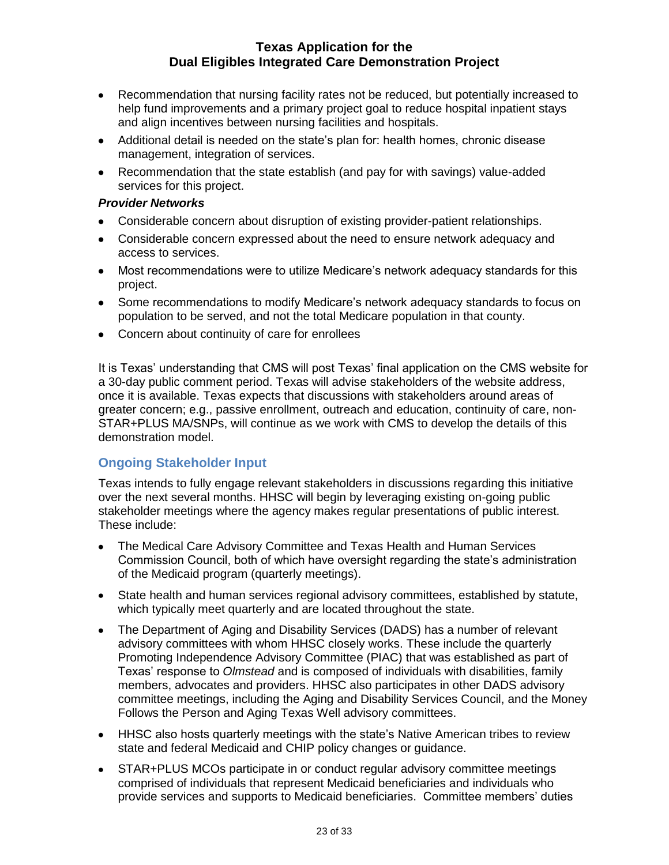- Recommendation that nursing facility rates not be reduced, but potentially increased to help fund improvements and a primary project goal to reduce hospital inpatient stays and align incentives between nursing facilities and hospitals.
- Additional detail is needed on the state's plan for: health homes, chronic disease management, integration of services.
- Recommendation that the state establish (and pay for with savings) value-added services for this project.

#### *Provider Networks*

- Considerable concern about disruption of existing provider-patient relationships.
- Considerable concern expressed about the need to ensure network adequacy and access to services.
- Most recommendations were to utilize Medicare's network adequacy standards for this project.
- Some recommendations to modify Medicare's network adequacy standards to focus on population to be served, and not the total Medicare population in that county.
- Concern about continuity of care for enrollees

It is Texas' understanding that CMS will post Texas' final application on the CMS website for a 30-day public comment period. Texas will advise stakeholders of the website address, once it is available. Texas expects that discussions with stakeholders around areas of greater concern; e.g., passive enrollment, outreach and education, continuity of care, non-STAR+PLUS MA/SNPs, will continue as we work with CMS to develop the details of this demonstration model.

### **Ongoing Stakeholder Input**

Texas intends to fully engage relevant stakeholders in discussions regarding this initiative over the next several months. HHSC will begin by leveraging existing on-going public stakeholder meetings where the agency makes regular presentations of public interest. These include:

- The Medical Care Advisory Committee and Texas Health and Human Services Commission Council, both of which have oversight regarding the state's administration of the Medicaid program (quarterly meetings).
- State health and human services regional advisory committees, established by statute, which typically meet quarterly and are located throughout the state.
- The Department of Aging and Disability Services (DADS) has a number of relevant advisory committees with whom HHSC closely works. These include the quarterly Promoting Independence Advisory Committee (PIAC) that was established as part of Texas' response to *Olmstead* and is composed of individuals with disabilities, family members, advocates and providers. HHSC also participates in other DADS advisory committee meetings, including the Aging and Disability Services Council, and the Money Follows the Person and Aging Texas Well advisory committees.
- HHSC also hosts quarterly meetings with the state's Native American tribes to review state and federal Medicaid and CHIP policy changes or guidance.
- STAR+PLUS MCOs participate in or conduct regular advisory committee meetings comprised of individuals that represent Medicaid beneficiaries and individuals who provide services and supports to Medicaid beneficiaries. Committee members' duties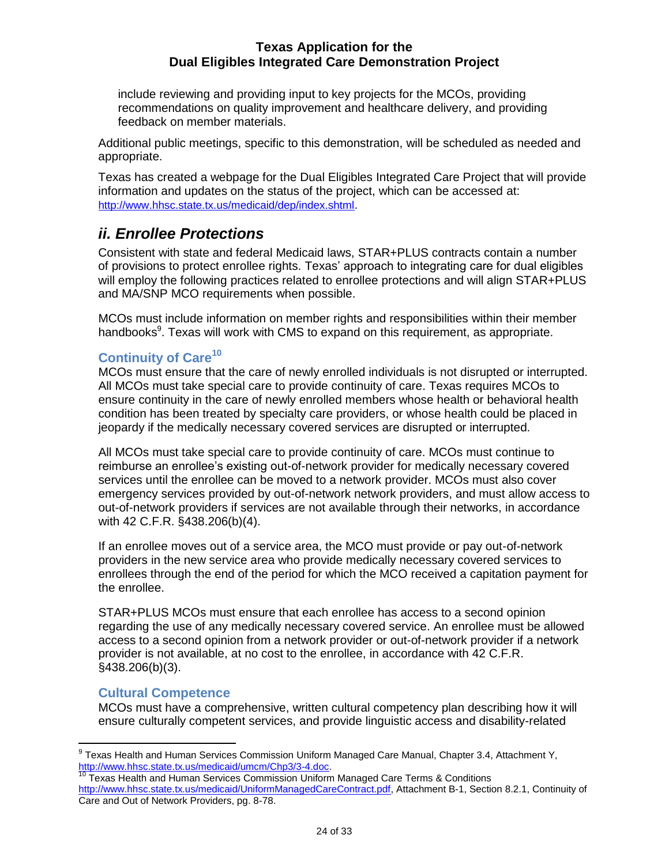include reviewing and providing input to key projects for the MCOs, providing recommendations on quality improvement and healthcare delivery, and providing feedback on member materials.

Additional public meetings, specific to this demonstration, will be scheduled as needed and appropriate.

Texas has created a webpage for the Dual Eligibles Integrated Care Project that will provide information and updates on the status of the project, which can be accessed at: <http://www.hhsc.state.tx.us/medicaid/dep/index.shtml>.

# <span id="page-24-0"></span>*ii. Enrollee Protections*

Consistent with state and federal Medicaid laws, STAR+PLUS contracts contain a number of provisions to protect enrollee rights. Texas' approach to integrating care for dual eligibles will employ the following practices related to enrollee protections and will align STAR+PLUS and MA/SNP MCO requirements when possible.

MCOs must include information on member rights and responsibilities within their member handbooks<sup>9</sup>. Texas will work with CMS to expand on this requirement, as appropriate.

### <span id="page-24-1"></span>**Continuity of Care<sup>10</sup>**

MCOs must ensure that the care of newly enrolled individuals is not disrupted or interrupted. All MCOs must take special care to provide continuity of care. Texas requires MCOs to ensure continuity in the care of newly enrolled members whose health or behavioral health condition has been treated by specialty care providers, or whose health could be placed in jeopardy if the medically necessary covered services are disrupted or interrupted.

All MCOs must take special care to provide continuity of care. MCOs must continue to reimburse an enrollee's existing out-of-network provider for medically necessary covered services until the enrollee can be moved to a network provider. MCOs must also cover emergency services provided by out-of-network network providers, and must allow access to out-of-network providers if services are not available through their networks, in accordance with 42 C.F.R. §438.206(b)(4).

If an enrollee moves out of a service area, the MCO must provide or pay out-of-network providers in the new service area who provide medically necessary covered services to enrollees through the end of the period for which the MCO received a capitation payment for the enrollee.

STAR+PLUS MCOs must ensure that each enrollee has access to a second opinion regarding the use of any medically necessary covered service. An enrollee must be allowed access to a second opinion from a network provider or out-of-network provider if a network provider is not available, at no cost to the enrollee, in accordance with 42 C.F.R. §438.206(b)(3).

### <span id="page-24-2"></span>**Cultural Competence**

MCOs must have a comprehensive, written cultural competency plan describing how it will ensure culturally competent services, and provide linguistic access and disability-related

 9 Texas Health and Human Services Commission Uniform Managed Care Manual, Chapter 3.4, Attachment Y, [http://www.hhsc.state.tx.us/medicaid/umcm/Chp3/3-4.doc.](http://www.hhsc.state.tx.us/medicaid/umcm/Chp3/3-4.doc)

<sup>&</sup>lt;sup>10</sup> Texas Health and Human Services Commission Uniform Managed Care Terms & Conditions [http://www.hhsc.state.tx.us/medicaid/UniformManagedCareContract.pdf,](http://www.hhsc.state.tx.us/medicaid/UniformManagedCareContract.pdf) Attachment B-1, Section 8.2.1, Continuity of Care and Out of Network Providers, pg. 8-78.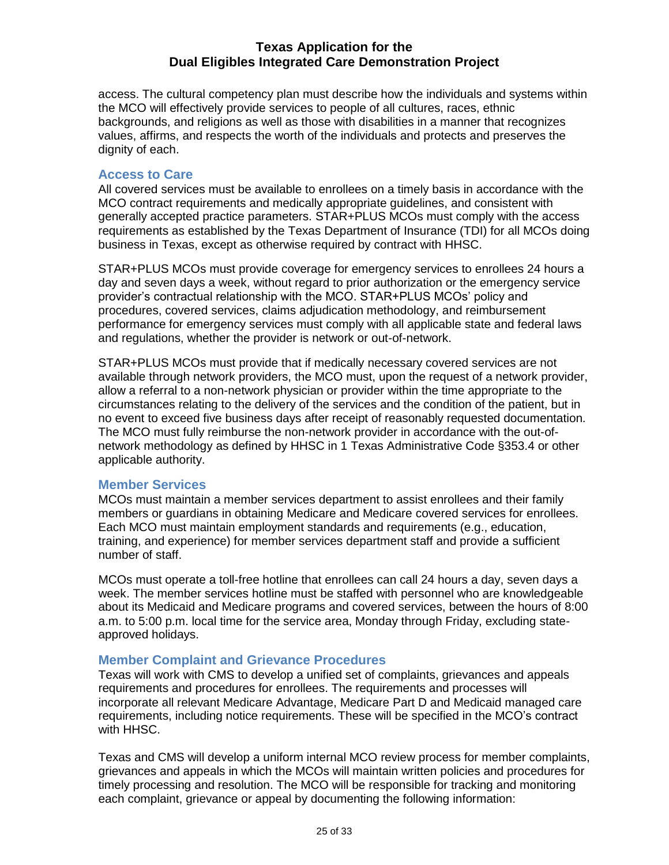access. The cultural competency plan must describe how the individuals and systems within the MCO will effectively provide services to people of all cultures, races, ethnic backgrounds, and religions as well as those with disabilities in a manner that recognizes values, affirms, and respects the worth of the individuals and protects and preserves the dignity of each.

### <span id="page-25-0"></span>**Access to Care**

All covered services must be available to enrollees on a timely basis in accordance with the MCO contract requirements and medically appropriate guidelines, and consistent with generally accepted practice parameters. STAR+PLUS MCOs must comply with the access requirements as established by the Texas Department of Insurance (TDI) for all MCOs doing business in Texas, except as otherwise required by contract with HHSC.

STAR+PLUS MCOs must provide coverage for emergency services to enrollees 24 hours a day and seven days a week, without regard to prior authorization or the emergency service provider's contractual relationship with the MCO. STAR+PLUS MCOs' policy and procedures, covered services, claims adjudication methodology, and reimbursement performance for emergency services must comply with all applicable state and federal laws and regulations, whether the provider is network or out-of-network.

STAR+PLUS MCOs must provide that if medically necessary covered services are not available through network providers, the MCO must, upon the request of a network provider, allow a referral to a non-network physician or provider within the time appropriate to the circumstances relating to the delivery of the services and the condition of the patient, but in no event to exceed five business days after receipt of reasonably requested documentation. The MCO must fully reimburse the non-network provider in accordance with the out-ofnetwork methodology as defined by HHSC in 1 Texas Administrative Code §353.4 or other applicable authority.

### <span id="page-25-1"></span>**Member Services**

MCOs must maintain a member services department to assist enrollees and their family members or guardians in obtaining Medicare and Medicare covered services for enrollees. Each MCO must maintain employment standards and requirements (e.g., education, training, and experience) for member services department staff and provide a sufficient number of staff.

MCOs must operate a toll-free hotline that enrollees can call 24 hours a day, seven days a week. The member services hotline must be staffed with personnel who are knowledgeable about its Medicaid and Medicare programs and covered services, between the hours of 8:00 a.m. to 5:00 p.m. local time for the service area, Monday through Friday, excluding stateapproved holidays.

### <span id="page-25-2"></span>**Member Complaint and Grievance Procedures**

<span id="page-25-3"></span>Texas will work with CMS to develop a unified set of complaints, grievances and appeals requirements and procedures for enrollees. The requirements and processes will incorporate all relevant Medicare Advantage, Medicare Part D and Medicaid managed care requirements, including notice requirements. These will be specified in the MCO's contract with HHSC.

Texas and CMS will develop a uniform internal MCO review process for member complaints, grievances and appeals in which the MCOs will maintain written policies and procedures for timely processing and resolution. The MCO will be responsible for tracking and monitoring each complaint, grievance or appeal by documenting the following information: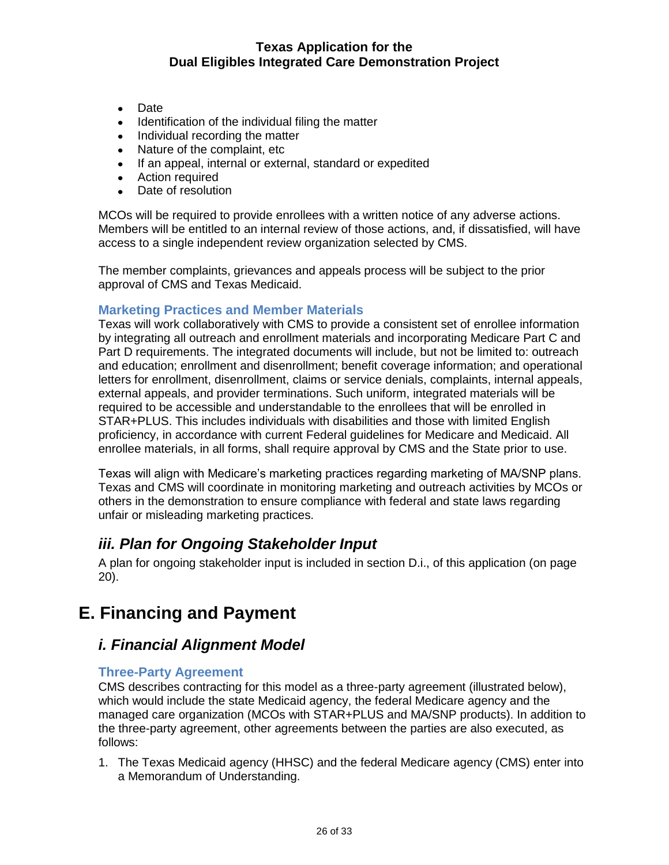- Date
- $\bullet$ Identification of the individual filing the matter
- Individual recording the matter
- Nature of the complaint, etc
- If an appeal, internal or external, standard or expedited
- Action required
- Date of resolution

MCOs will be required to provide enrollees with a written notice of any adverse actions. Members will be entitled to an internal review of those actions, and, if dissatisfied, will have access to a single independent review organization selected by CMS.

The member complaints, grievances and appeals process will be subject to the prior approval of CMS and Texas Medicaid.

### **Marketing Practices and Member Materials**

<span id="page-26-0"></span>Texas will work collaboratively with CMS to provide a consistent set of enrollee information by integrating all outreach and enrollment materials and incorporating Medicare Part C and Part D requirements. The integrated documents will include, but not be limited to: outreach and education; enrollment and disenrollment; benefit coverage information; and operational letters for enrollment, disenrollment, claims or service denials, complaints, internal appeals, external appeals, and provider terminations. Such uniform, integrated materials will be required to be accessible and understandable to the enrollees that will be enrolled in STAR+PLUS. This includes individuals with disabilities and those with limited English proficiency, in accordance with current Federal guidelines for Medicare and Medicaid. All enrollee materials, in all forms, shall require approval by CMS and the State prior to use.

Texas will align with Medicare's marketing practices regarding marketing of MA/SNP plans. Texas and CMS will coordinate in monitoring marketing and outreach activities by MCOs or others in the demonstration to ensure compliance with federal and state laws regarding unfair or misleading marketing practices.

### *iii. Plan for Ongoing Stakeholder Input*

A plan for ongoing stakeholder input is included in section D.i., of this application (on page 20).

# <span id="page-26-2"></span><span id="page-26-1"></span>**E. Financing and Payment**

### *i. Financial Alignment Model*

### <span id="page-26-3"></span>**Three-Party Agreement**

CMS describes contracting for this model as a three-party agreement (illustrated below), which would include the state Medicaid agency, the federal Medicare agency and the managed care organization (MCOs with STAR+PLUS and MA/SNP products). In addition to the three-party agreement, other agreements between the parties are also executed, as follows:

1. The Texas Medicaid agency (HHSC) and the federal Medicare agency (CMS) enter into a Memorandum of Understanding.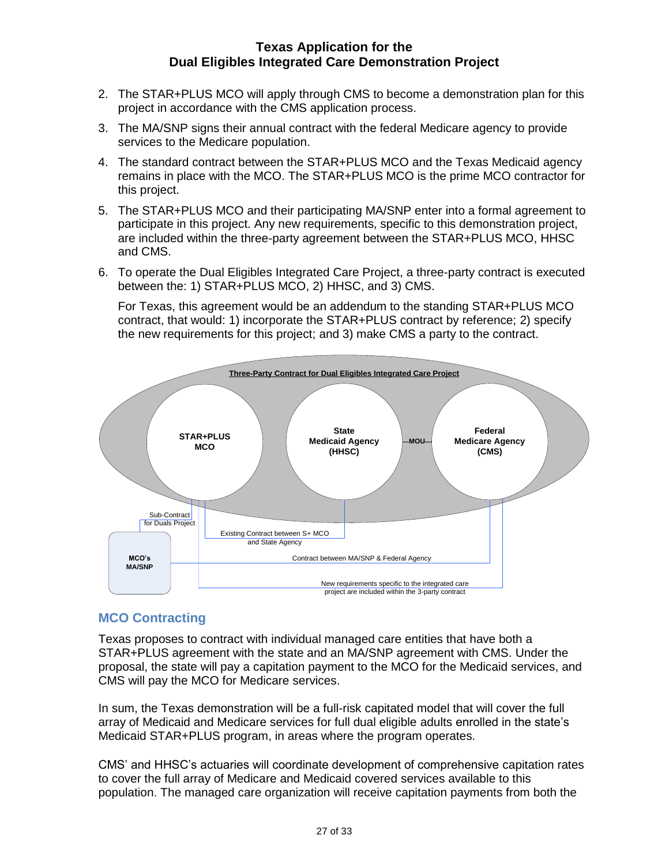- 2. The STAR+PLUS MCO will apply through CMS to become a demonstration plan for this project in accordance with the CMS application process.
- 3. The MA/SNP signs their annual contract with the federal Medicare agency to provide services to the Medicare population.
- 4. The standard contract between the STAR+PLUS MCO and the Texas Medicaid agency remains in place with the MCO. The STAR+PLUS MCO is the prime MCO contractor for this project.
- 5. The STAR+PLUS MCO and their participating MA/SNP enter into a formal agreement to participate in this project. Any new requirements, specific to this demonstration project, are included within the three-party agreement between the STAR+PLUS MCO, HHSC and CMS.
- 6. To operate the Dual Eligibles Integrated Care Project, a three-party contract is executed between the: 1) STAR+PLUS MCO, 2) HHSC, and 3) CMS.

For Texas, this agreement would be an addendum to the standing STAR+PLUS MCO contract, that would: 1) incorporate the STAR+PLUS contract by reference; 2) specify the new requirements for this project; and 3) make CMS a party to the contract.



### <span id="page-27-0"></span>**MCO Contracting**

Texas proposes to contract with individual managed care entities that have both a STAR+PLUS agreement with the state and an MA/SNP agreement with CMS. Under the proposal, the state will pay a capitation payment to the MCO for the Medicaid services, and CMS will pay the MCO for Medicare services.

In sum, the Texas demonstration will be a full-risk capitated model that will cover the full array of Medicaid and Medicare services for full dual eligible adults enrolled in the state's Medicaid STAR+PLUS program, in areas where the program operates.

CMS' and HHSC's actuaries will coordinate development of comprehensive capitation rates to cover the full array of Medicare and Medicaid covered services available to this population. The managed care organization will receive capitation payments from both the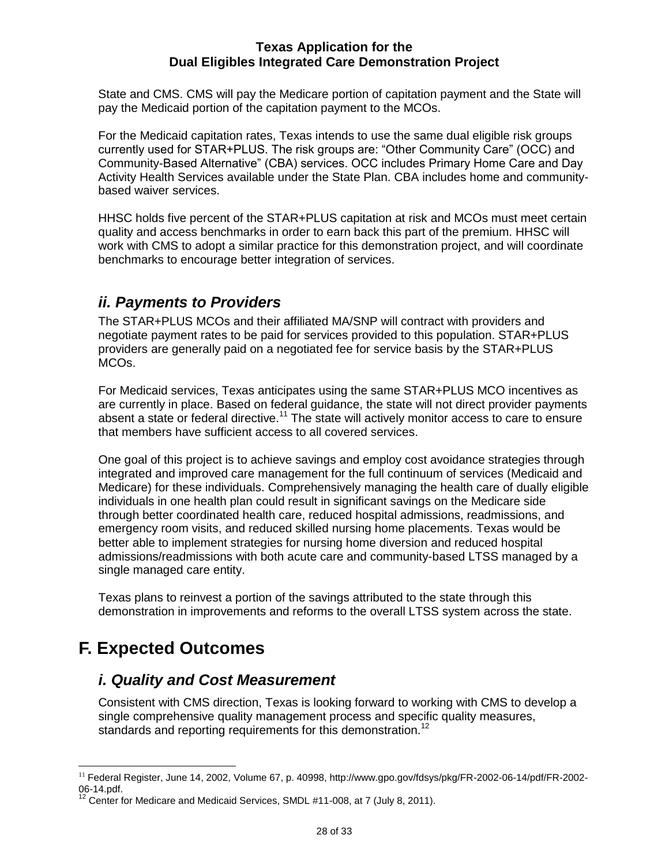State and CMS. CMS will pay the Medicare portion of capitation payment and the State will pay the Medicaid portion of the capitation payment to the MCOs.

For the Medicaid capitation rates, Texas intends to use the same dual eligible risk groups currently used for STAR+PLUS. The risk groups are: "Other Community Care" (OCC) and Community-Based Alternative" (CBA) services. OCC includes Primary Home Care and Day Activity Health Services available under the State Plan. CBA includes home and communitybased waiver services.

HHSC holds five percent of the STAR+PLUS capitation at risk and MCOs must meet certain quality and access benchmarks in order to earn back this part of the premium. HHSC will work with CMS to adopt a similar practice for this demonstration project, and will coordinate benchmarks to encourage better integration of services.

# <span id="page-28-0"></span>*ii. Payments to Providers*

The STAR+PLUS MCOs and their affiliated MA/SNP will contract with providers and negotiate payment rates to be paid for services provided to this population. STAR+PLUS providers are generally paid on a negotiated fee for service basis by the STAR+PLUS MCOs.

For Medicaid services, Texas anticipates using the same STAR+PLUS MCO incentives as are currently in place. Based on federal guidance, the state will not direct provider payments absent a state or federal directive.<sup>11</sup> The state will actively monitor access to care to ensure that members have sufficient access to all covered services.

One goal of this project is to achieve savings and employ cost avoidance strategies through integrated and improved care management for the full continuum of services (Medicaid and Medicare) for these individuals. Comprehensively managing the health care of dually eligible individuals in one health plan could result in significant savings on the Medicare side through better coordinated health care, reduced hospital admissions, readmissions, and emergency room visits, and reduced skilled nursing home placements. Texas would be better able to implement strategies for nursing home diversion and reduced hospital admissions/readmissions with both acute care and community-based LTSS managed by a single managed care entity.

Texas plans to reinvest a portion of the savings attributed to the state through this demonstration in improvements and reforms to the overall LTSS system across the state.

# <span id="page-28-2"></span><span id="page-28-1"></span>**F. Expected Outcomes**

# *i. Quality and Cost Measurement*

Consistent with CMS direction, Texas is looking forward to working with CMS to develop a single comprehensive quality management process and specific quality measures, standards and reporting requirements for this demonstration.<sup>12</sup>

 $\overline{a}$ <sup>11</sup> Federal Register, June 14, 2002, Volume 67, p. 40998, http://www.gpo.gov/fdsys/pkg/FR-2002-06-14/pdf/FR-2002- 06-14.pdf.

 $12$  Center for Medicare and Medicaid Services, SMDL #11-008, at 7 (July 8, 2011).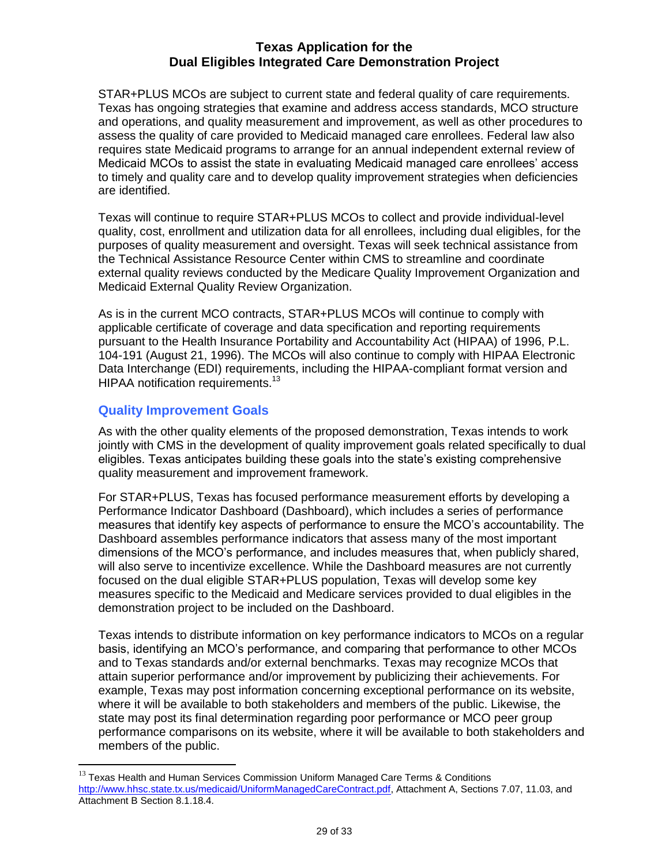STAR+PLUS MCOs are subject to current state and federal quality of care requirements. Texas has ongoing strategies that examine and address access standards, MCO structure and operations, and quality measurement and improvement, as well as other procedures to assess the quality of care provided to Medicaid managed care enrollees. Federal law also requires state Medicaid programs to arrange for an annual independent external review of Medicaid MCOs to assist the state in evaluating Medicaid managed care enrollees' access to timely and quality care and to develop quality improvement strategies when deficiencies are identified.

Texas will continue to require STAR+PLUS MCOs to collect and provide individual-level quality, cost, enrollment and utilization data for all enrollees, including dual eligibles, for the purposes of quality measurement and oversight. Texas will seek technical assistance from the Technical Assistance Resource Center within CMS to streamline and coordinate external quality reviews conducted by the Medicare Quality Improvement Organization and Medicaid External Quality Review Organization.

As is in the current MCO contracts, STAR+PLUS MCOs will continue to comply with applicable certificate of coverage and data specification and reporting requirements pursuant to the Health Insurance Portability and Accountability Act (HIPAA) of 1996, P.L. 104-191 (August 21, 1996). The MCOs will also continue to comply with HIPAA Electronic Data Interchange (EDI) requirements, including the HIPAA-compliant format version and HIPAA notification requirements.<sup>13</sup>

### <span id="page-29-0"></span>**Quality Improvement Goals**

 $\overline{a}$ 

As with the other quality elements of the proposed demonstration, Texas intends to work jointly with CMS in the development of quality improvement goals related specifically to dual eligibles. Texas anticipates building these goals into the state's existing comprehensive quality measurement and improvement framework.

For STAR+PLUS, Texas has focused performance measurement efforts by developing a Performance Indicator Dashboard (Dashboard), which includes a series of performance measures that identify key aspects of performance to ensure the MCO's accountability. The Dashboard assembles performance indicators that assess many of the most important dimensions of the MCO's performance, and includes measures that, when publicly shared, will also serve to incentivize excellence. While the Dashboard measures are not currently focused on the dual eligible STAR+PLUS population, Texas will develop some key measures specific to the Medicaid and Medicare services provided to dual eligibles in the demonstration project to be included on the Dashboard.

Texas intends to distribute information on key performance indicators to MCOs on a regular basis, identifying an MCO's performance, and comparing that performance to other MCOs and to Texas standards and/or external benchmarks. Texas may recognize MCOs that attain superior performance and/or improvement by publicizing their achievements. For example, Texas may post information concerning exceptional performance on its website, where it will be available to both stakeholders and members of the public. Likewise, the state may post its final determination regarding poor performance or MCO peer group performance comparisons on its website, where it will be available to both stakeholders and members of the public.

 $^{13}$  Texas Health and Human Services Commission Uniform Managed Care Terms & Conditions [http://www.hhsc.state.tx.us/medicaid/UniformManagedCareContract.pdf,](http://www.hhsc.state.tx.us/medicaid/UniformManagedCareContract.pdf) Attachment A, Sections 7.07, 11.03, and Attachment B Section 8.1.18.4.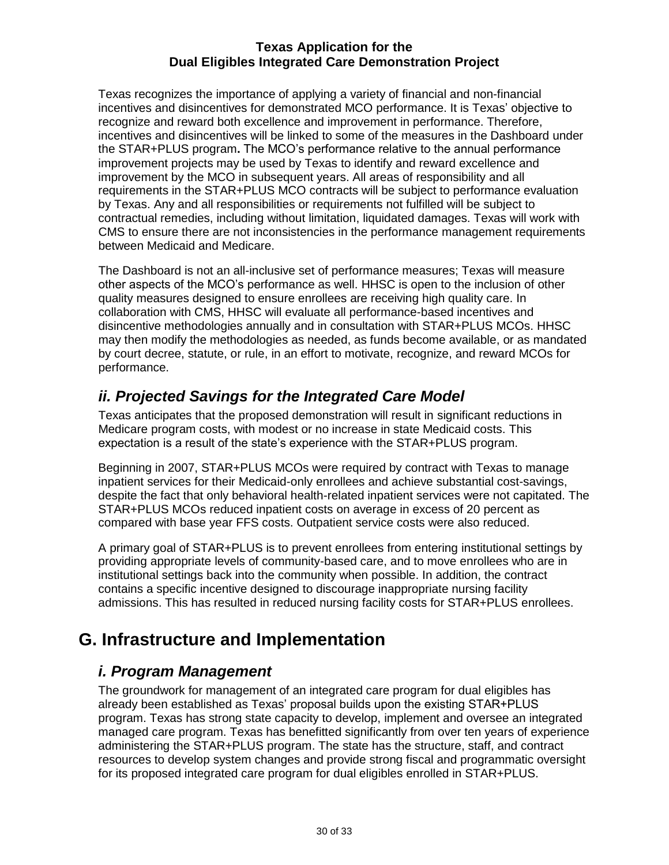Texas recognizes the importance of applying a variety of financial and non-financial incentives and disincentives for demonstrated MCO performance. It is Texas' objective to recognize and reward both excellence and improvement in performance. Therefore, incentives and disincentives will be linked to some of the measures in the Dashboard under the STAR+PLUS program**.** The MCO's performance relative to the annual performance improvement projects may be used by Texas to identify and reward excellence and improvement by the MCO in subsequent years. All areas of responsibility and all requirements in the STAR+PLUS MCO contracts will be subject to performance evaluation by Texas. Any and all responsibilities or requirements not fulfilled will be subject to contractual remedies, including without limitation, liquidated damages. Texas will work with CMS to ensure there are not inconsistencies in the performance management requirements between Medicaid and Medicare.

The Dashboard is not an all-inclusive set of performance measures; Texas will measure other aspects of the MCO's performance as well. HHSC is open to the inclusion of other quality measures designed to ensure enrollees are receiving high quality care. In collaboration with CMS, HHSC will evaluate all performance-based incentives and disincentive methodologies annually and in consultation with STAR+PLUS MCOs. HHSC may then modify the methodologies as needed, as funds become available, or as mandated by court decree, statute, or rule, in an effort to motivate, recognize, and reward MCOs for performance.

# <span id="page-30-0"></span>*ii. Projected Savings for the Integrated Care Model*

Texas anticipates that the proposed demonstration will result in significant reductions in Medicare program costs, with modest or no increase in state Medicaid costs. This expectation is a result of the state's experience with the STAR+PLUS program.

Beginning in 2007, STAR+PLUS MCOs were required by contract with Texas to manage inpatient services for their Medicaid-only enrollees and achieve substantial cost-savings, despite the fact that only behavioral health-related inpatient services were not capitated. The STAR+PLUS MCOs reduced inpatient costs on average in excess of 20 percent as compared with base year FFS costs. Outpatient service costs were also reduced.

A primary goal of STAR+PLUS is to prevent enrollees from entering institutional settings by providing appropriate levels of community-based care, and to move enrollees who are in institutional settings back into the community when possible. In addition, the contract contains a specific incentive designed to discourage inappropriate nursing facility admissions. This has resulted in reduced nursing facility costs for STAR+PLUS enrollees.

# <span id="page-30-2"></span><span id="page-30-1"></span>**G. Infrastructure and Implementation**

# *i. Program Management*

The groundwork for management of an integrated care program for dual eligibles has already been established as Texas' proposal builds upon the existing STAR+PLUS program. Texas has strong state capacity to develop, implement and oversee an integrated managed care program. Texas has benefitted significantly from over ten years of experience administering the STAR+PLUS program. The state has the structure, staff, and contract resources to develop system changes and provide strong fiscal and programmatic oversight for its proposed integrated care program for dual eligibles enrolled in STAR+PLUS.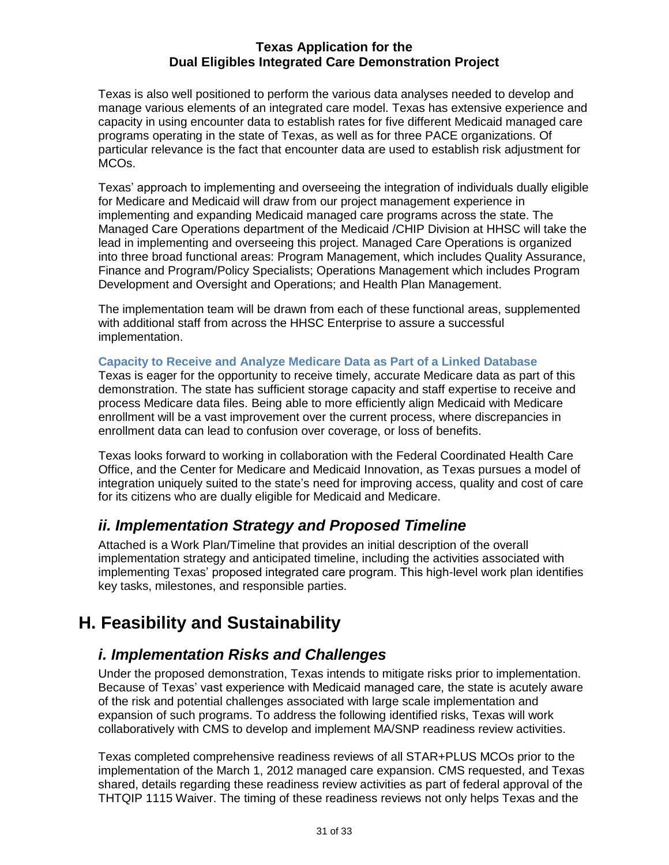Texas is also well positioned to perform the various data analyses needed to develop and manage various elements of an integrated care model. Texas has extensive experience and capacity in using encounter data to establish rates for five different Medicaid managed care programs operating in the state of Texas, as well as for three PACE organizations. Of particular relevance is the fact that encounter data are used to establish risk adjustment for MCOs.

Texas' approach to implementing and overseeing the integration of individuals dually eligible for Medicare and Medicaid will draw from our project management experience in implementing and expanding Medicaid managed care programs across the state. The Managed Care Operations department of the Medicaid /CHIP Division at HHSC will take the lead in implementing and overseeing this project. Managed Care Operations is organized into three broad functional areas: Program Management, which includes Quality Assurance, Finance and Program/Policy Specialists; Operations Management which includes Program Development and Oversight and Operations; and Health Plan Management.

The implementation team will be drawn from each of these functional areas, supplemented with additional staff from across the HHSC Enterprise to assure a successful implementation.

### <span id="page-31-0"></span>**Capacity to Receive and Analyze Medicare Data as Part of a Linked Database**

Texas is eager for the opportunity to receive timely, accurate Medicare data as part of this demonstration. The state has sufficient storage capacity and staff expertise to receive and process Medicare data files. Being able to more efficiently align Medicaid with Medicare enrollment will be a vast improvement over the current process, where discrepancies in enrollment data can lead to confusion over coverage, or loss of benefits.

Texas looks forward to working in collaboration with the Federal Coordinated Health Care Office, and the Center for Medicare and Medicaid Innovation, as Texas pursues a model of integration uniquely suited to the state's need for improving access, quality and cost of care for its citizens who are dually eligible for Medicaid and Medicare.

# <span id="page-31-1"></span>*ii. Implementation Strategy and Proposed Timeline*

Attached is a Work Plan/Timeline that provides an initial description of the overall implementation strategy and anticipated timeline, including the activities associated with implementing Texas' proposed integrated care program. This high-level work plan identifies key tasks, milestones, and responsible parties.

# <span id="page-31-3"></span><span id="page-31-2"></span>**H. Feasibility and Sustainability**

# *i. Implementation Risks and Challenges*

Under the proposed demonstration, Texas intends to mitigate risks prior to implementation. Because of Texas' vast experience with Medicaid managed care, the state is acutely aware of the risk and potential challenges associated with large scale implementation and expansion of such programs. To address the following identified risks, Texas will work collaboratively with CMS to develop and implement MA/SNP readiness review activities.

Texas completed comprehensive readiness reviews of all STAR+PLUS MCOs prior to the implementation of the March 1, 2012 managed care expansion. CMS requested, and Texas shared, details regarding these readiness review activities as part of federal approval of the THTQIP 1115 Waiver. The timing of these readiness reviews not only helps Texas and the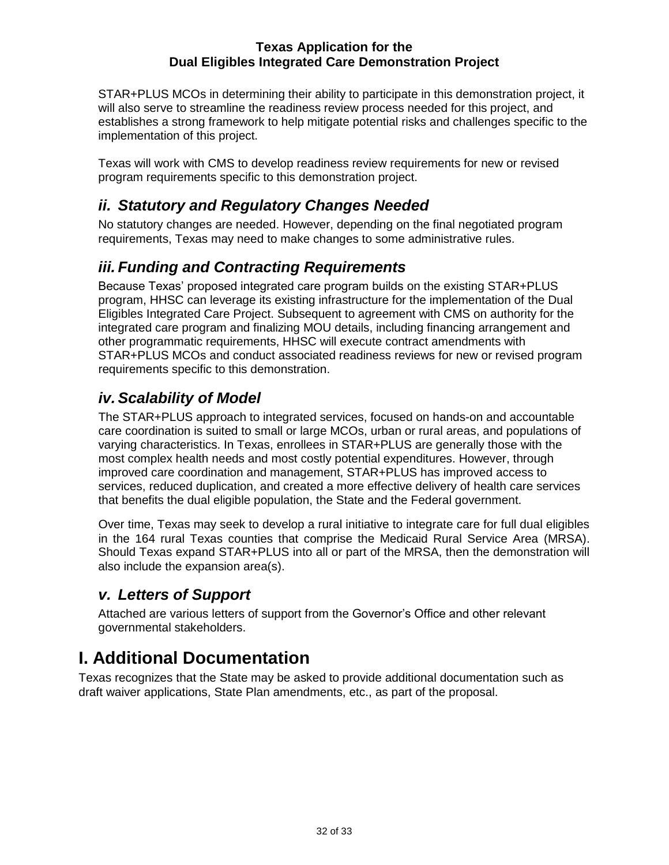STAR+PLUS MCOs in determining their ability to participate in this demonstration project, it will also serve to streamline the readiness review process needed for this project, and establishes a strong framework to help mitigate potential risks and challenges specific to the implementation of this project.

Texas will work with CMS to develop readiness review requirements for new or revised program requirements specific to this demonstration project.

# <span id="page-32-0"></span>*ii. Statutory and Regulatory Changes Needed*

No statutory changes are needed. However, depending on the final negotiated program requirements, Texas may need to make changes to some administrative rules.

# <span id="page-32-1"></span>*iii. Funding and Contracting Requirements*

Because Texas' proposed integrated care program builds on the existing STAR+PLUS program, HHSC can leverage its existing infrastructure for the implementation of the Dual Eligibles Integrated Care Project. Subsequent to agreement with CMS on authority for the integrated care program and finalizing MOU details, including financing arrangement and other programmatic requirements, HHSC will execute contract amendments with STAR+PLUS MCOs and conduct associated readiness reviews for new or revised program requirements specific to this demonstration.

# <span id="page-32-2"></span>*iv. Scalability of Model*

The STAR+PLUS approach to integrated services, focused on hands-on and accountable care coordination is suited to small or large MCOs, urban or rural areas, and populations of varying characteristics. In Texas, enrollees in STAR+PLUS are generally those with the most complex health needs and most costly potential expenditures. However, through improved care coordination and management, STAR+PLUS has improved access to services, reduced duplication, and created a more effective delivery of health care services that benefits the dual eligible population, the State and the Federal government.

Over time, Texas may seek to develop a rural initiative to integrate care for full dual eligibles in the 164 rural Texas counties that comprise the Medicaid Rural Service Area (MRSA). Should Texas expand STAR+PLUS into all or part of the MRSA, then the demonstration will also include the expansion area(s).

### <span id="page-32-3"></span>*v. Letters of Support*

Attached are various letters of support from the Governor's Office and other relevant governmental stakeholders.

# <span id="page-32-4"></span>**I. Additional Documentation**

Texas recognizes that the State may be asked to provide additional documentation such as draft waiver applications, State Plan amendments, etc., as part of the proposal.